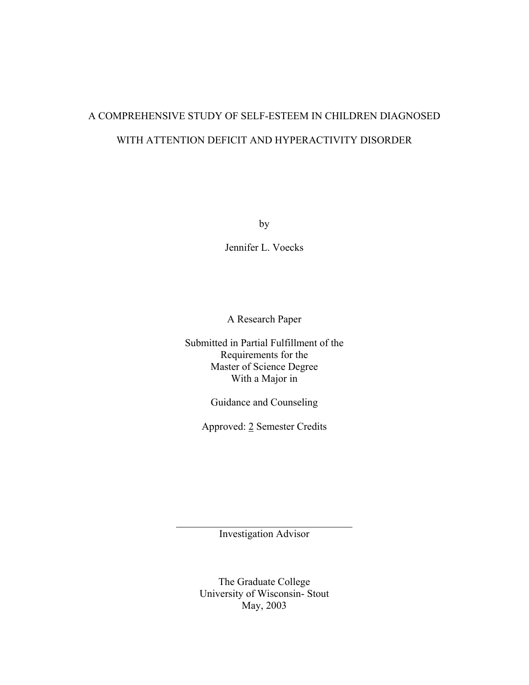# A COMPREHENSIVE STUDY OF SELF-ESTEEM IN CHILDREN DIAGNOSED WITH ATTENTION DEFICIT AND HYPERACTIVITY DISORDER

by

Jennifer L. Voecks

A Research Paper

Submitted in Partial Fulfillment of the Requirements for the Master of Science Degree With a Major in

Guidance and Counseling

Approved: 2 Semester Credits

 $\mathcal{L}_\text{max}$ Investigation Advisor

> The Graduate College University of Wisconsin- Stout May, 2003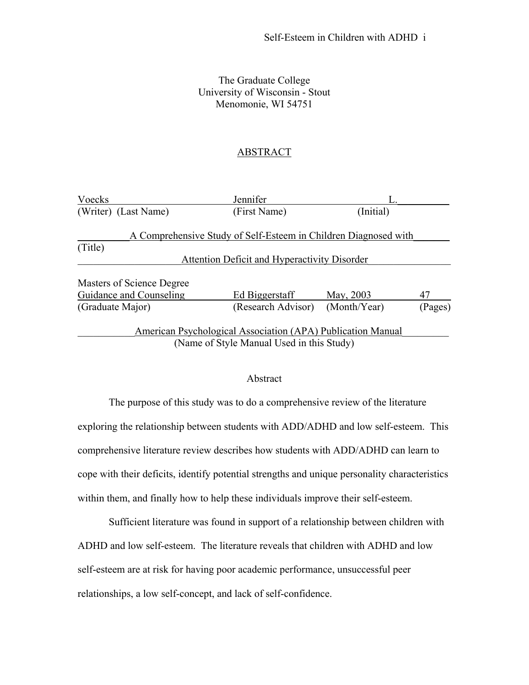# The Graduate College University of Wisconsin - Stout Menomonie, WI 54751

# **ABSTRACT**

| Voecks                    | Jennifer                                                        |              |         |
|---------------------------|-----------------------------------------------------------------|--------------|---------|
| (Writer) (Last Name)      | (First Name)                                                    | (Initial)    |         |
|                           | A Comprehensive Study of Self-Esteem in Children Diagnosed with |              |         |
| (Title)                   |                                                                 |              |         |
|                           | Attention Deficit and Hyperactivity Disorder                    |              |         |
| Masters of Science Degree |                                                                 |              |         |
| Guidance and Counseling   | Ed Biggerstaff                                                  | May, 2003    | 47      |
| (Graduate Major)          | (Research Advisor)                                              | (Month/Year) | (Pages) |
|                           | American Psychological Association (APA) Publication Manual     |              |         |
|                           | (Name of Style Manual Used in this Study)                       |              |         |

#### Abstract

 The purpose of this study was to do a comprehensive review of the literature exploring the relationship between students with ADD/ADHD and low self-esteem. This comprehensive literature review describes how students with ADD/ADHD can learn to cope with their deficits, identify potential strengths and unique personality characteristics within them, and finally how to help these individuals improve their self-esteem.

 Sufficient literature was found in support of a relationship between children with ADHD and low self-esteem. The literature reveals that children with ADHD and low self-esteem are at risk for having poor academic performance, unsuccessful peer relationships, a low self-concept, and lack of self-confidence.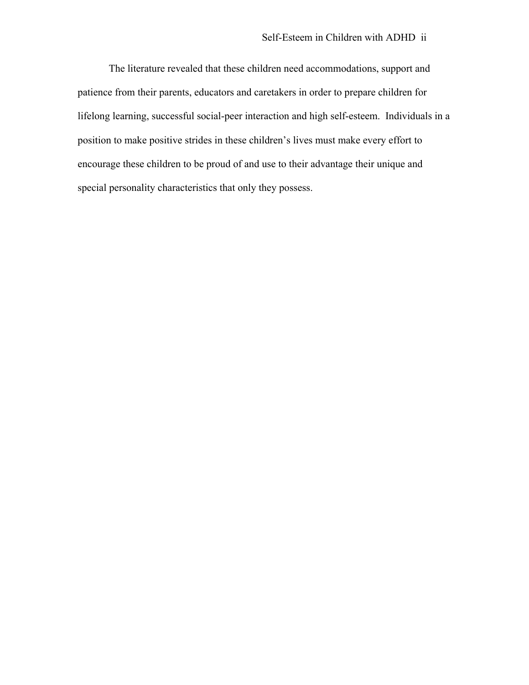The literature revealed that these children need accommodations, support and patience from their parents, educators and caretakers in order to prepare children for lifelong learning, successful social-peer interaction and high self-esteem. Individuals in a position to make positive strides in these children's lives must make every effort to encourage these children to be proud of and use to their advantage their unique and special personality characteristics that only they possess.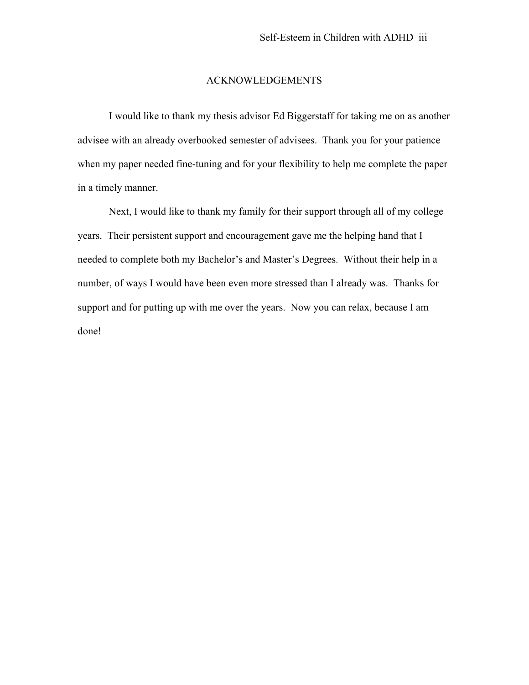#### ACKNOWLEDGEMENTS

I would like to thank my thesis advisor Ed Biggerstaff for taking me on as another advisee with an already overbooked semester of advisees. Thank you for your patience when my paper needed fine-tuning and for your flexibility to help me complete the paper in a timely manner.

Next, I would like to thank my family for their support through all of my college years. Their persistent support and encouragement gave me the helping hand that I needed to complete both my Bachelor's and Master's Degrees. Without their help in a number, of ways I would have been even more stressed than I already was. Thanks for support and for putting up with me over the years. Now you can relax, because I am done!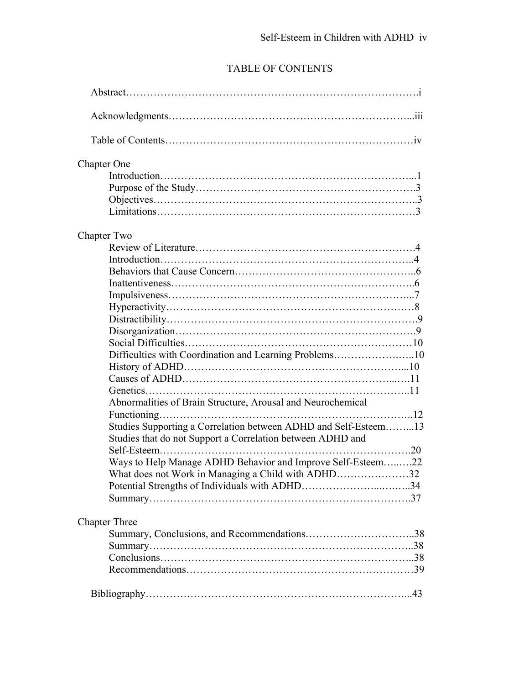# TABLE OF CONTENTS

| <b>Chapter One</b>                                              |
|-----------------------------------------------------------------|
|                                                                 |
|                                                                 |
|                                                                 |
|                                                                 |
| Chapter Two                                                     |
|                                                                 |
|                                                                 |
|                                                                 |
|                                                                 |
|                                                                 |
|                                                                 |
|                                                                 |
|                                                                 |
|                                                                 |
| Difficulties with Coordination and Learning Problems10          |
|                                                                 |
|                                                                 |
|                                                                 |
| Abnormalities of Brain Structure, Arousal and Neurochemical     |
|                                                                 |
| Studies Supporting a Correlation between ADHD and Self-Esteem13 |
| Studies that do not Support a Correlation between ADHD and      |
|                                                                 |
| Ways to Help Manage ADHD Behavior and Improve Self-Esteem22     |
| What does not Work in Managing a Child with ADHD32              |
|                                                                 |
|                                                                 |
| <b>Chapter Three</b>                                            |
|                                                                 |
|                                                                 |
|                                                                 |
|                                                                 |
|                                                                 |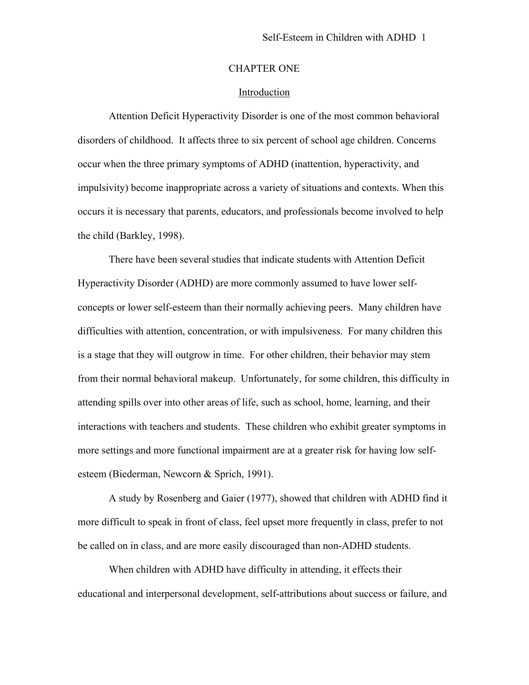# CHAPTER ONE

# Introduction

Attention Deficit Hyperactivity Disorder is one of the most common behavioral disorders of childhood. It affects three to six percent of school age children. Concerns occur when the three primary symptoms of ADHD (inattention, hyperactivity, and impulsivity) become inappropriate across a variety of situations and contexts. When this occurs it is necessary that parents, educators, and professionals become involved to help the child (Barkley, 1998).

There have been several studies that indicate students with Attention Deficit Hyperactivity Disorder (ADHD) are more commonly assumed to have lower selfconcepts or lower self-esteem than their normally achieving peers. Many children have difficulties with attention, concentration, or with impulsiveness. For many children this is a stage that they will outgrow in time. For other children, their behavior may stem from their normal behavioral makeup. Unfortunately, for some children, this difficulty in attending spills over into other areas of life, such as school, home, learning, and their interactions with teachers and students. These children who exhibit greater symptoms in more settings and more functional impairment are at a greater risk for having low selfesteem (Biederman, Newcorn & Sprich, 1991).

A study by Rosenberg and Gaier (1977), showed that children with ADHD find it more difficult to speak in front of class, feel upset more frequently in class, prefer to not be called on in class, and are more easily discouraged than non-ADHD students.

When children with ADHD have difficulty in attending, it effects their educational and interpersonal development, self-attributions about success or failure, and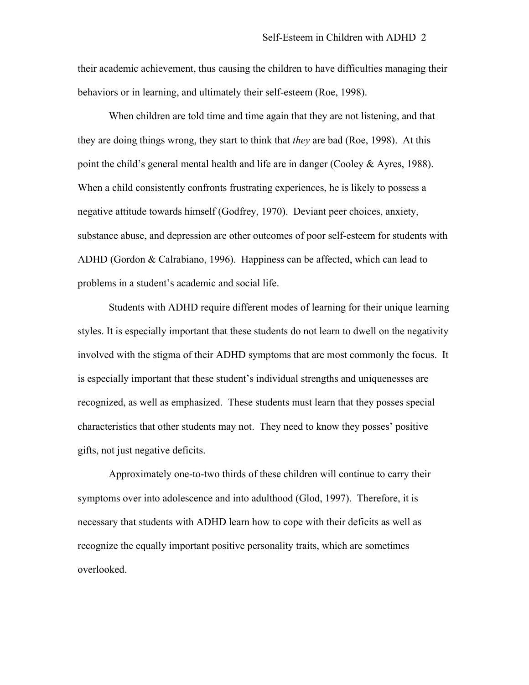their academic achievement, thus causing the children to have difficulties managing their behaviors or in learning, and ultimately their self-esteem (Roe, 1998).

When children are told time and time again that they are not listening, and that they are doing things wrong, they start to think that *they* are bad (Roe, 1998). At this point the child's general mental health and life are in danger (Cooley  $\&$  Ayres, 1988). When a child consistently confronts frustrating experiences, he is likely to possess a negative attitude towards himself (Godfrey, 1970). Deviant peer choices, anxiety, substance abuse, and depression are other outcomes of poor self-esteem for students with ADHD (Gordon & Calrabiano, 1996). Happiness can be affected, which can lead to problems in a student's academic and social life.

 Students with ADHD require different modes of learning for their unique learning styles. It is especially important that these students do not learn to dwell on the negativity involved with the stigma of their ADHD symptoms that are most commonly the focus. It is especially important that these student's individual strengths and uniquenesses are recognized, as well as emphasized. These students must learn that they posses special characteristics that other students may not. They need to know they posses' positive gifts, not just negative deficits.

 Approximately one-to-two thirds of these children will continue to carry their symptoms over into adolescence and into adulthood (Glod, 1997). Therefore, it is necessary that students with ADHD learn how to cope with their deficits as well as recognize the equally important positive personality traits, which are sometimes overlooked.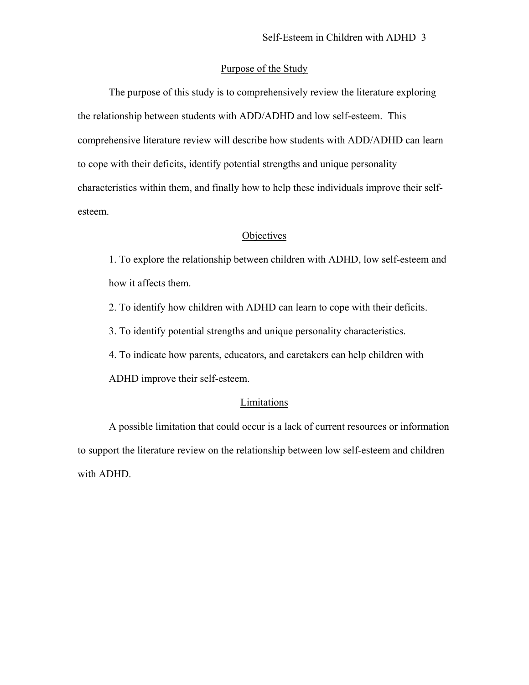# Purpose of the Study

 The purpose of this study is to comprehensively review the literature exploring the relationship between students with ADD/ADHD and low self-esteem. This comprehensive literature review will describe how students with ADD/ADHD can learn to cope with their deficits, identify potential strengths and unique personality characteristics within them, and finally how to help these individuals improve their selfesteem.

# **Objectives**

1. To explore the relationship between children with ADHD, low self-esteem and how it affects them.

2. To identify how children with ADHD can learn to cope with their deficits.

3. To identify potential strengths and unique personality characteristics.

4. To indicate how parents, educators, and caretakers can help children with

ADHD improve their self-esteem.

# **Limitations**

A possible limitation that could occur is a lack of current resources or information to support the literature review on the relationship between low self-esteem and children with ADHD.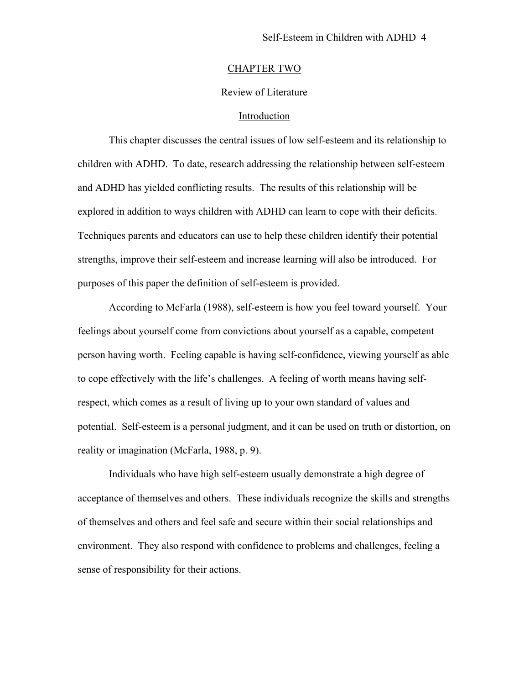#### CHAPTER TWO

#### Review of Literature

# Introduction

This chapter discusses the central issues of low self-esteem and its relationship to children with ADHD. To date, research addressing the relationship between self-esteem and ADHD has yielded conflicting results. The results of this relationship will be explored in addition to ways children with ADHD can learn to cope with their deficits. Techniques parents and educators can use to help these children identify their potential strengths, improve their self-esteem and increase learning will also be introduced. For purposes of this paper the definition of self-esteem is provided.

According to McFarla (1988), self-esteem is how you feel toward yourself. Your feelings about yourself come from convictions about yourself as a capable, competent person having worth. Feeling capable is having self-confidence, viewing yourself as able to cope effectively with the life's challenges. A feeling of worth means having selfrespect, which comes as a result of living up to your own standard of values and potential. Self-esteem is a personal judgment, and it can be used on truth or distortion, on reality or imagination (McFarla, 1988, p. 9).

Individuals who have high self-esteem usually demonstrate a high degree of acceptance of themselves and others. These individuals recognize the skills and strengths of themselves and others and feel safe and secure within their social relationships and environment. They also respond with confidence to problems and challenges, feeling a sense of responsibility for their actions.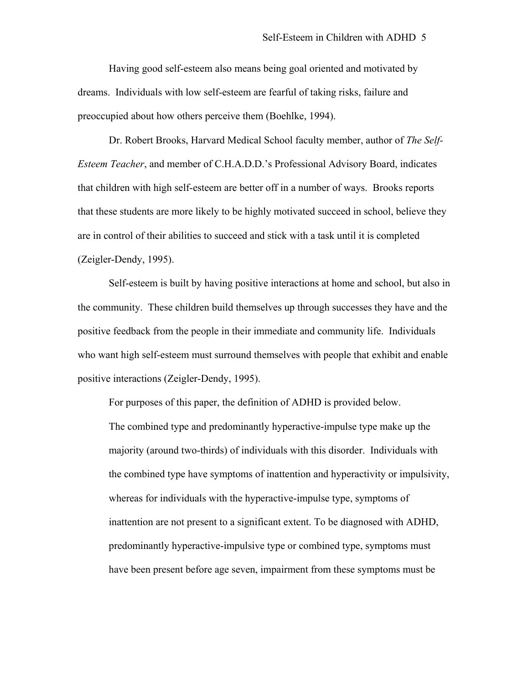Having good self-esteem also means being goal oriented and motivated by dreams. Individuals with low self-esteem are fearful of taking risks, failure and preoccupied about how others perceive them (Boehlke, 1994).

Dr. Robert Brooks, Harvard Medical School faculty member, author of *The Self-Esteem Teacher*, and member of C.H.A.D.D.'s Professional Advisory Board, indicates that children with high self-esteem are better off in a number of ways. Brooks reports that these students are more likely to be highly motivated succeed in school, believe they are in control of their abilities to succeed and stick with a task until it is completed (Zeigler-Dendy, 1995).

Self-esteem is built by having positive interactions at home and school, but also in the community. These children build themselves up through successes they have and the positive feedback from the people in their immediate and community life. Individuals who want high self-esteem must surround themselves with people that exhibit and enable positive interactions (Zeigler-Dendy, 1995).

For purposes of this paper, the definition of ADHD is provided below. The combined type and predominantly hyperactive-impulse type make up the majority (around two-thirds) of individuals with this disorder. Individuals with the combined type have symptoms of inattention and hyperactivity or impulsivity, whereas for individuals with the hyperactive-impulse type, symptoms of inattention are not present to a significant extent. To be diagnosed with ADHD, predominantly hyperactive-impulsive type or combined type, symptoms must have been present before age seven, impairment from these symptoms must be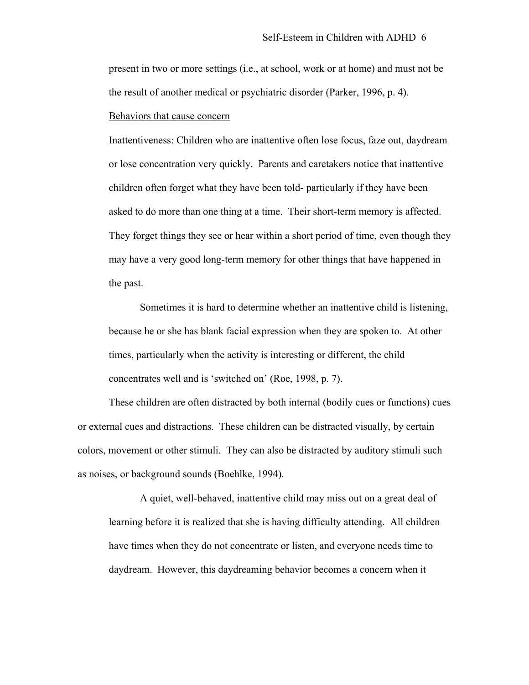present in two or more settings (i.e., at school, work or at home) and must not be the result of another medical or psychiatric disorder (Parker, 1996, p. 4).

#### Behaviors that cause concern

Inattentiveness: Children who are inattentive often lose focus, faze out, daydream or lose concentration very quickly. Parents and caretakers notice that inattentive children often forget what they have been told- particularly if they have been asked to do more than one thing at a time. Their short-term memory is affected. They forget things they see or hear within a short period of time, even though they may have a very good long-term memory for other things that have happened in the past.

Sometimes it is hard to determine whether an inattentive child is listening, because he or she has blank facial expression when they are spoken to. At other times, particularly when the activity is interesting or different, the child concentrates well and is 'switched on' (Roe, 1998, p. 7).

These children are often distracted by both internal (bodily cues or functions) cues or external cues and distractions. These children can be distracted visually, by certain colors, movement or other stimuli. They can also be distracted by auditory stimuli such as noises, or background sounds (Boehlke, 1994).

A quiet, well-behaved, inattentive child may miss out on a great deal of learning before it is realized that she is having difficulty attending. All children have times when they do not concentrate or listen, and everyone needs time to daydream. However, this daydreaming behavior becomes a concern when it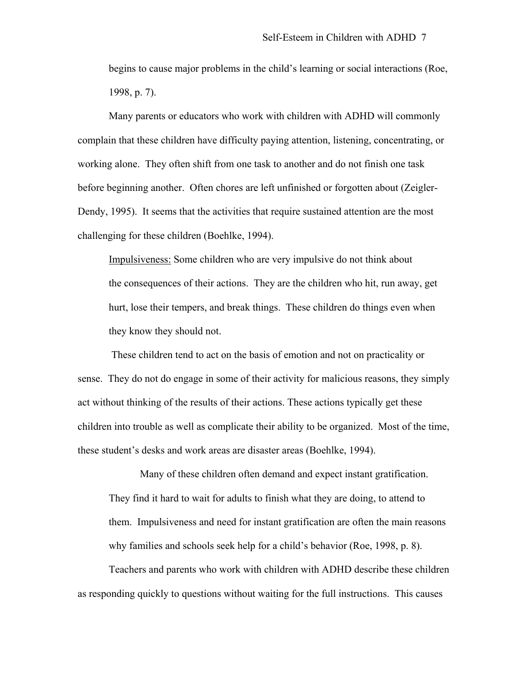begins to cause major problems in the child's learning or social interactions (Roe, 1998, p. 7).

Many parents or educators who work with children with ADHD will commonly complain that these children have difficulty paying attention, listening, concentrating, or working alone. They often shift from one task to another and do not finish one task before beginning another. Often chores are left unfinished or forgotten about (Zeigler-Dendy, 1995). It seems that the activities that require sustained attention are the most challenging for these children (Boehlke, 1994).

Impulsiveness: Some children who are very impulsive do not think about the consequences of their actions. They are the children who hit, run away, get hurt, lose their tempers, and break things. These children do things even when they know they should not.

 These children tend to act on the basis of emotion and not on practicality or sense. They do not do engage in some of their activity for malicious reasons, they simply act without thinking of the results of their actions. These actions typically get these children into trouble as well as complicate their ability to be organized. Most of the time, these student's desks and work areas are disaster areas (Boehlke, 1994).

Many of these children often demand and expect instant gratification. They find it hard to wait for adults to finish what they are doing, to attend to them. Impulsiveness and need for instant gratification are often the main reasons why families and schools seek help for a child's behavior (Roe, 1998, p. 8).

 Teachers and parents who work with children with ADHD describe these children as responding quickly to questions without waiting for the full instructions. This causes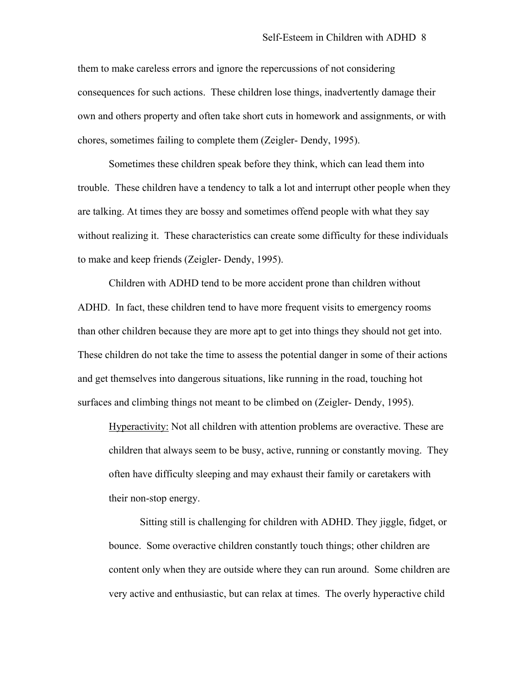them to make careless errors and ignore the repercussions of not considering consequences for such actions. These children lose things, inadvertently damage their own and others property and often take short cuts in homework and assignments, or with chores, sometimes failing to complete them (Zeigler- Dendy, 1995).

Sometimes these children speak before they think, which can lead them into trouble. These children have a tendency to talk a lot and interrupt other people when they are talking. At times they are bossy and sometimes offend people with what they say without realizing it. These characteristics can create some difficulty for these individuals to make and keep friends (Zeigler- Dendy, 1995).

Children with ADHD tend to be more accident prone than children without ADHD. In fact, these children tend to have more frequent visits to emergency rooms than other children because they are more apt to get into things they should not get into. These children do not take the time to assess the potential danger in some of their actions and get themselves into dangerous situations, like running in the road, touching hot surfaces and climbing things not meant to be climbed on (Zeigler- Dendy, 1995).

Hyperactivity: Not all children with attention problems are overactive. These are children that always seem to be busy, active, running or constantly moving. They often have difficulty sleeping and may exhaust their family or caretakers with their non-stop energy.

Sitting still is challenging for children with ADHD. They jiggle, fidget, or bounce. Some overactive children constantly touch things; other children are content only when they are outside where they can run around. Some children are very active and enthusiastic, but can relax at times. The overly hyperactive child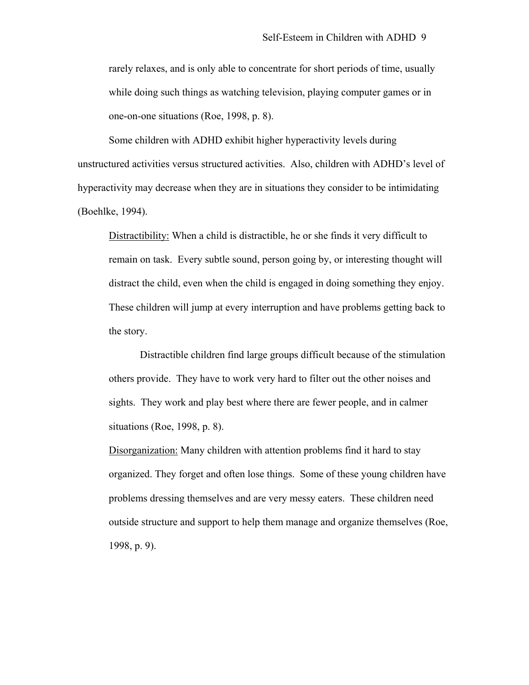rarely relaxes, and is only able to concentrate for short periods of time, usually while doing such things as watching television, playing computer games or in one-on-one situations (Roe, 1998, p. 8).

Some children with ADHD exhibit higher hyperactivity levels during unstructured activities versus structured activities. Also, children with ADHD's level of hyperactivity may decrease when they are in situations they consider to be intimidating (Boehlke, 1994).

Distractibility: When a child is distractible, he or she finds it very difficult to remain on task. Every subtle sound, person going by, or interesting thought will distract the child, even when the child is engaged in doing something they enjoy. These children will jump at every interruption and have problems getting back to the story.

Distractible children find large groups difficult because of the stimulation others provide. They have to work very hard to filter out the other noises and sights. They work and play best where there are fewer people, and in calmer situations (Roe, 1998, p. 8).

Disorganization: Many children with attention problems find it hard to stay organized. They forget and often lose things. Some of these young children have problems dressing themselves and are very messy eaters. These children need outside structure and support to help them manage and organize themselves (Roe, 1998, p. 9).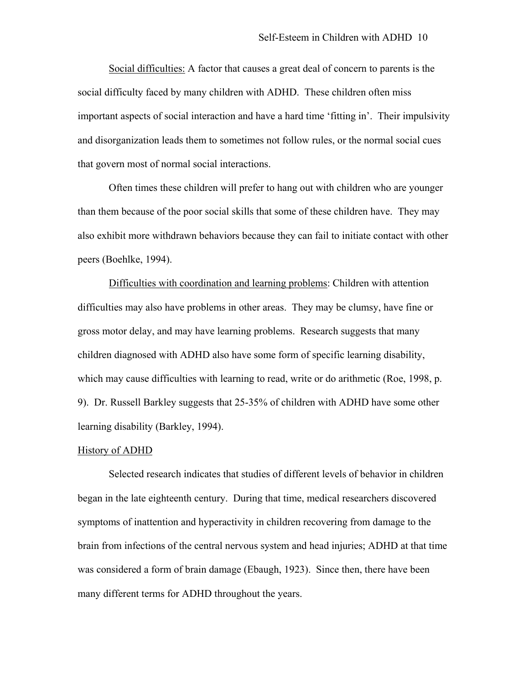Social difficulties: A factor that causes a great deal of concern to parents is the social difficulty faced by many children with ADHD. These children often miss important aspects of social interaction and have a hard time 'fitting in'. Their impulsivity and disorganization leads them to sometimes not follow rules, or the normal social cues that govern most of normal social interactions.

 Often times these children will prefer to hang out with children who are younger than them because of the poor social skills that some of these children have. They may also exhibit more withdrawn behaviors because they can fail to initiate contact with other peers (Boehlke, 1994).

Difficulties with coordination and learning problems: Children with attention difficulties may also have problems in other areas. They may be clumsy, have fine or gross motor delay, and may have learning problems. Research suggests that many children diagnosed with ADHD also have some form of specific learning disability, which may cause difficulties with learning to read, write or do arithmetic (Roe, 1998, p. 9). Dr. Russell Barkley suggests that 25-35% of children with ADHD have some other learning disability (Barkley, 1994).

#### History of ADHD

Selected research indicates that studies of different levels of behavior in children began in the late eighteenth century. During that time, medical researchers discovered symptoms of inattention and hyperactivity in children recovering from damage to the brain from infections of the central nervous system and head injuries; ADHD at that time was considered a form of brain damage (Ebaugh, 1923). Since then, there have been many different terms for ADHD throughout the years.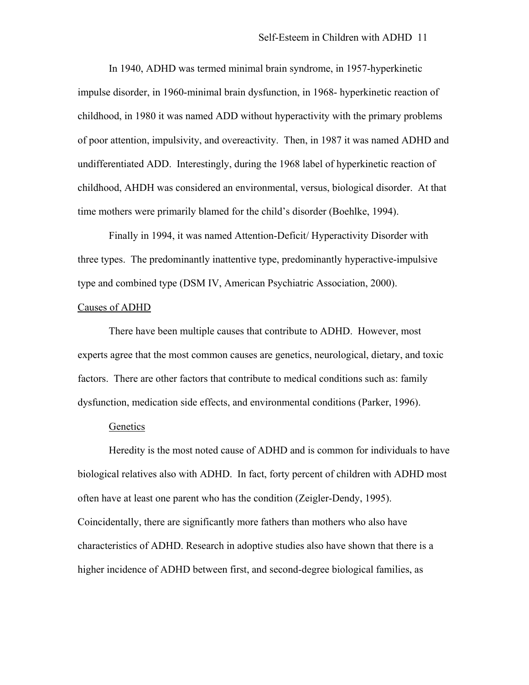In 1940, ADHD was termed minimal brain syndrome, in 1957-hyperkinetic impulse disorder, in 1960-minimal brain dysfunction, in 1968- hyperkinetic reaction of childhood, in 1980 it was named ADD without hyperactivity with the primary problems of poor attention, impulsivity, and overeactivity. Then, in 1987 it was named ADHD and undifferentiated ADD. Interestingly, during the 1968 label of hyperkinetic reaction of childhood, AHDH was considered an environmental, versus, biological disorder. At that time mothers were primarily blamed for the child's disorder (Boehlke, 1994).

Finally in 1994, it was named Attention-Deficit/ Hyperactivity Disorder with three types. The predominantly inattentive type, predominantly hyperactive-impulsive type and combined type (DSM IV, American Psychiatric Association, 2000).

#### Causes of ADHD

There have been multiple causes that contribute to ADHD. However, most experts agree that the most common causes are genetics, neurological, dietary, and toxic factors. There are other factors that contribute to medical conditions such as: family dysfunction, medication side effects, and environmental conditions (Parker, 1996).

# Genetics

 Heredity is the most noted cause of ADHD and is common for individuals to have biological relatives also with ADHD. In fact, forty percent of children with ADHD most often have at least one parent who has the condition (Zeigler-Dendy, 1995). Coincidentally, there are significantly more fathers than mothers who also have characteristics of ADHD. Research in adoptive studies also have shown that there is a higher incidence of ADHD between first, and second-degree biological families, as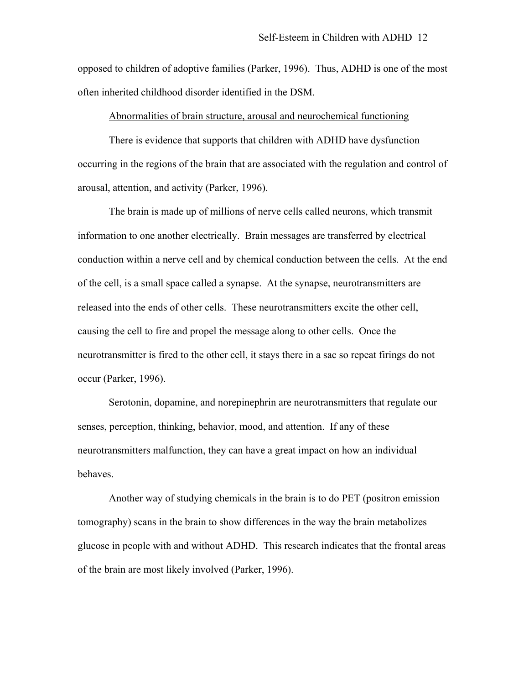opposed to children of adoptive families (Parker, 1996). Thus, ADHD is one of the most often inherited childhood disorder identified in the DSM.

#### Abnormalities of brain structure, arousal and neurochemical functioning

 There is evidence that supports that children with ADHD have dysfunction occurring in the regions of the brain that are associated with the regulation and control of arousal, attention, and activity (Parker, 1996).

 The brain is made up of millions of nerve cells called neurons, which transmit information to one another electrically. Brain messages are transferred by electrical conduction within a nerve cell and by chemical conduction between the cells. At the end of the cell, is a small space called a synapse. At the synapse, neurotransmitters are released into the ends of other cells. These neurotransmitters excite the other cell, causing the cell to fire and propel the message along to other cells. Once the neurotransmitter is fired to the other cell, it stays there in a sac so repeat firings do not occur (Parker, 1996).

Serotonin, dopamine, and norepinephrin are neurotransmitters that regulate our senses, perception, thinking, behavior, mood, and attention. If any of these neurotransmitters malfunction, they can have a great impact on how an individual behaves.

 Another way of studying chemicals in the brain is to do PET (positron emission tomography) scans in the brain to show differences in the way the brain metabolizes glucose in people with and without ADHD. This research indicates that the frontal areas of the brain are most likely involved (Parker, 1996).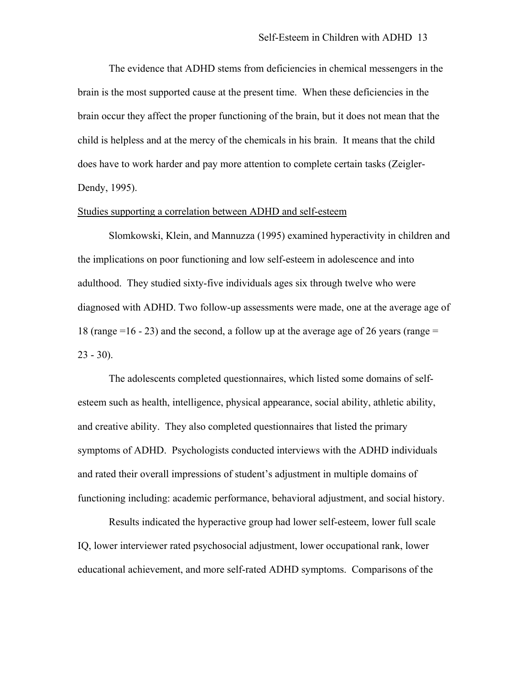The evidence that ADHD stems from deficiencies in chemical messengers in the brain is the most supported cause at the present time. When these deficiencies in the brain occur they affect the proper functioning of the brain, but it does not mean that the child is helpless and at the mercy of the chemicals in his brain. It means that the child does have to work harder and pay more attention to complete certain tasks (Zeigler-Dendy, 1995).

# Studies supporting a correlation between ADHD and self-esteem

Slomkowski, Klein, and Mannuzza (1995) examined hyperactivity in children and the implications on poor functioning and low self-esteem in adolescence and into adulthood. They studied sixty-five individuals ages six through twelve who were diagnosed with ADHD. Two follow-up assessments were made, one at the average age of 18 (range  $=16 - 23$ ) and the second, a follow up at the average age of 26 years (range  $=$  $23 - 30$ .

The adolescents completed questionnaires, which listed some domains of selfesteem such as health, intelligence, physical appearance, social ability, athletic ability, and creative ability. They also completed questionnaires that listed the primary symptoms of ADHD. Psychologists conducted interviews with the ADHD individuals and rated their overall impressions of student's adjustment in multiple domains of functioning including: academic performance, behavioral adjustment, and social history.

Results indicated the hyperactive group had lower self-esteem, lower full scale IQ, lower interviewer rated psychosocial adjustment, lower occupational rank, lower educational achievement, and more self-rated ADHD symptoms. Comparisons of the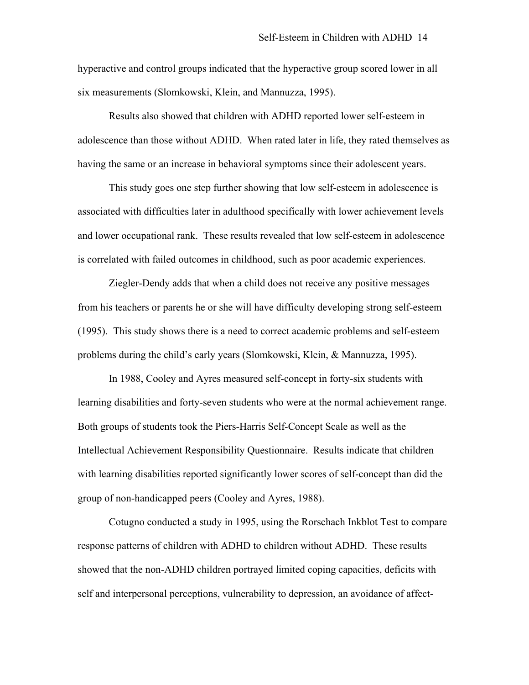hyperactive and control groups indicated that the hyperactive group scored lower in all six measurements (Slomkowski, Klein, and Mannuzza, 1995).

Results also showed that children with ADHD reported lower self-esteem in adolescence than those without ADHD. When rated later in life, they rated themselves as having the same or an increase in behavioral symptoms since their adolescent years.

This study goes one step further showing that low self-esteem in adolescence is associated with difficulties later in adulthood specifically with lower achievement levels and lower occupational rank. These results revealed that low self-esteem in adolescence is correlated with failed outcomes in childhood, such as poor academic experiences.

Ziegler-Dendy adds that when a child does not receive any positive messages from his teachers or parents he or she will have difficulty developing strong self-esteem (1995). This study shows there is a need to correct academic problems and self-esteem problems during the child's early years (Slomkowski, Klein, & Mannuzza, 1995).

In 1988, Cooley and Ayres measured self-concept in forty-six students with learning disabilities and forty-seven students who were at the normal achievement range. Both groups of students took the Piers-Harris Self-Concept Scale as well as the Intellectual Achievement Responsibility Questionnaire. Results indicate that children with learning disabilities reported significantly lower scores of self-concept than did the group of non-handicapped peers (Cooley and Ayres, 1988).

Cotugno conducted a study in 1995, using the Rorschach Inkblot Test to compare response patterns of children with ADHD to children without ADHD. These results showed that the non-ADHD children portrayed limited coping capacities, deficits with self and interpersonal perceptions, vulnerability to depression, an avoidance of affect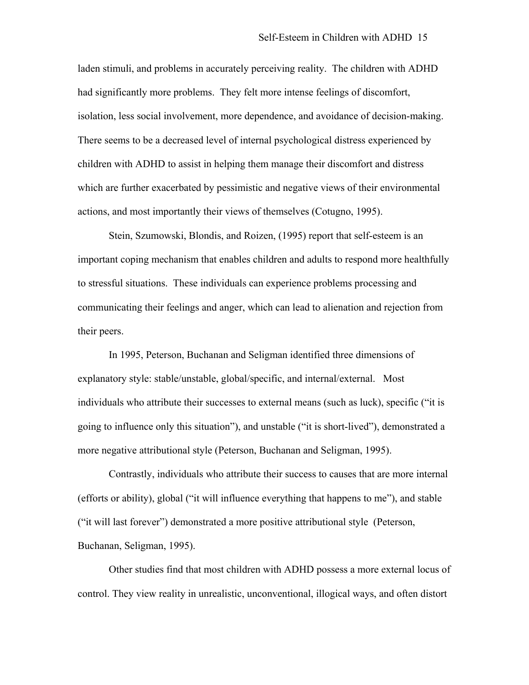laden stimuli, and problems in accurately perceiving reality. The children with ADHD had significantly more problems. They felt more intense feelings of discomfort, isolation, less social involvement, more dependence, and avoidance of decision-making. There seems to be a decreased level of internal psychological distress experienced by children with ADHD to assist in helping them manage their discomfort and distress which are further exacerbated by pessimistic and negative views of their environmental actions, and most importantly their views of themselves (Cotugno, 1995).

Stein, Szumowski, Blondis, and Roizen, (1995) report that self-esteem is an important coping mechanism that enables children and adults to respond more healthfully to stressful situations. These individuals can experience problems processing and communicating their feelings and anger, which can lead to alienation and rejection from their peers.

 In 1995, Peterson, Buchanan and Seligman identified three dimensions of explanatory style: stable/unstable, global/specific, and internal/external. Most individuals who attribute their successes to external means (such as luck), specific ("it is going to influence only this situation"), and unstable ("it is short-lived"), demonstrated a more negative attributional style (Peterson, Buchanan and Seligman, 1995).

Contrastly, individuals who attribute their success to causes that are more internal (efforts or ability), global ("it will influence everything that happens to me"), and stable ("it will last forever") demonstrated a more positive attributional style (Peterson, Buchanan, Seligman, 1995).

Other studies find that most children with ADHD possess a more external locus of control. They view reality in unrealistic, unconventional, illogical ways, and often distort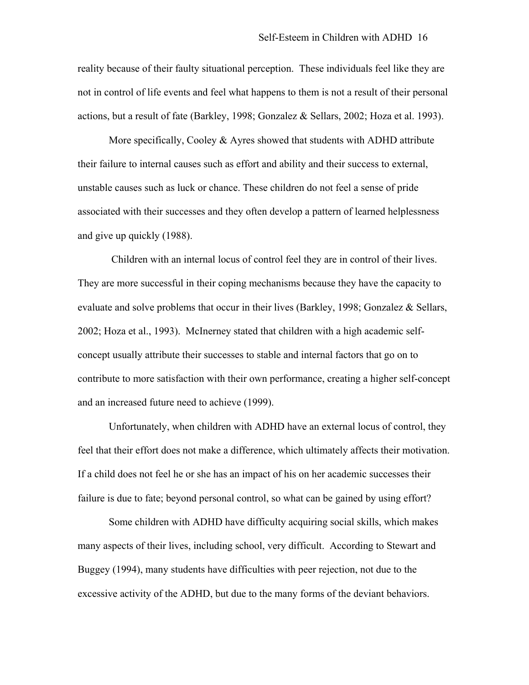reality because of their faulty situational perception. These individuals feel like they are not in control of life events and feel what happens to them is not a result of their personal actions, but a result of fate (Barkley, 1998; Gonzalez & Sellars, 2002; Hoza et al. 1993).

More specifically, Cooley & Ayres showed that students with ADHD attribute their failure to internal causes such as effort and ability and their success to external, unstable causes such as luck or chance. These children do not feel a sense of pride associated with their successes and they often develop a pattern of learned helplessness and give up quickly (1988).

 Children with an internal locus of control feel they are in control of their lives. They are more successful in their coping mechanisms because they have the capacity to evaluate and solve problems that occur in their lives (Barkley, 1998; Gonzalez & Sellars, 2002; Hoza et al., 1993). McInerney stated that children with a high academic selfconcept usually attribute their successes to stable and internal factors that go on to contribute to more satisfaction with their own performance, creating a higher self-concept and an increased future need to achieve (1999).

Unfortunately, when children with ADHD have an external locus of control, they feel that their effort does not make a difference, which ultimately affects their motivation. If a child does not feel he or she has an impact of his on her academic successes their failure is due to fate; beyond personal control, so what can be gained by using effort?

Some children with ADHD have difficulty acquiring social skills, which makes many aspects of their lives, including school, very difficult. According to Stewart and Buggey (1994), many students have difficulties with peer rejection, not due to the excessive activity of the ADHD, but due to the many forms of the deviant behaviors.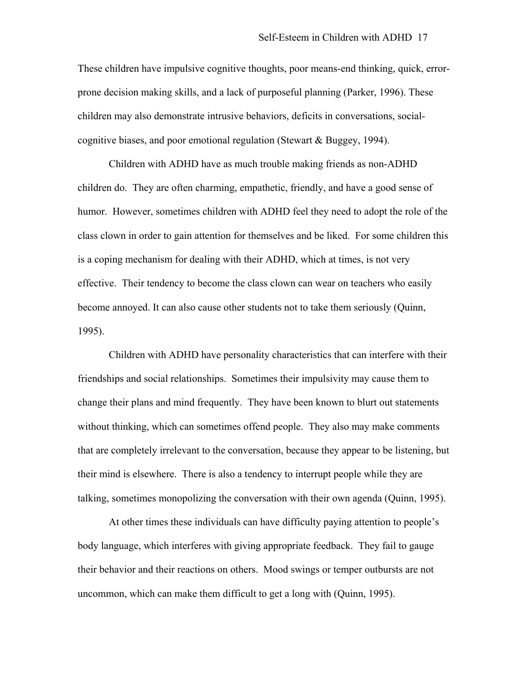These children have impulsive cognitive thoughts, poor means-end thinking, quick, errorprone decision making skills, and a lack of purposeful planning (Parker, 1996). These children may also demonstrate intrusive behaviors, deficits in conversations, socialcognitive biases, and poor emotional regulation (Stewart & Buggey, 1994).

Children with ADHD have as much trouble making friends as non-ADHD children do. They are often charming, empathetic, friendly, and have a good sense of humor. However, sometimes children with ADHD feel they need to adopt the role of the class clown in order to gain attention for themselves and be liked. For some children this is a coping mechanism for dealing with their ADHD, which at times, is not very effective. Their tendency to become the class clown can wear on teachers who easily become annoyed. It can also cause other students not to take them seriously (Quinn, 1995).

Children with ADHD have personality characteristics that can interfere with their friendships and social relationships. Sometimes their impulsivity may cause them to change their plans and mind frequently. They have been known to blurt out statements without thinking, which can sometimes offend people. They also may make comments that are completely irrelevant to the conversation, because they appear to be listening, but their mind is elsewhere. There is also a tendency to interrupt people while they are talking, sometimes monopolizing the conversation with their own agenda (Quinn, 1995).

At other times these individuals can have difficulty paying attention to people's body language, which interferes with giving appropriate feedback. They fail to gauge their behavior and their reactions on others. Mood swings or temper outbursts are not uncommon, which can make them difficult to get a long with (Quinn, 1995).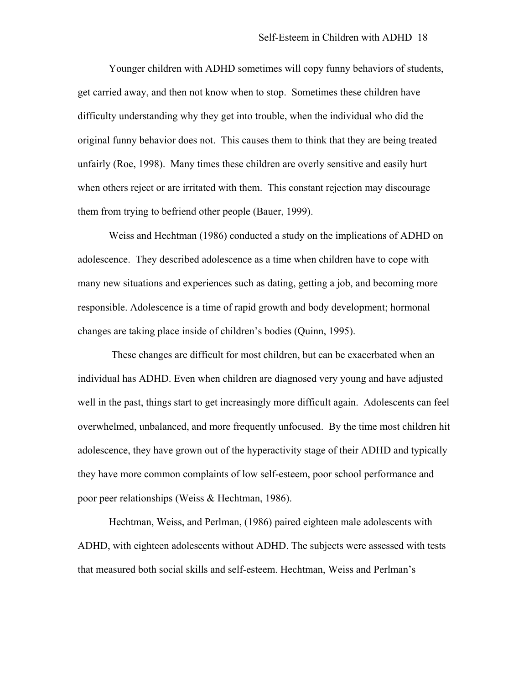Younger children with ADHD sometimes will copy funny behaviors of students, get carried away, and then not know when to stop. Sometimes these children have difficulty understanding why they get into trouble, when the individual who did the original funny behavior does not. This causes them to think that they are being treated unfairly (Roe, 1998). Many times these children are overly sensitive and easily hurt when others reject or are irritated with them. This constant rejection may discourage them from trying to befriend other people (Bauer, 1999).

Weiss and Hechtman (1986) conducted a study on the implications of ADHD on adolescence. They described adolescence as a time when children have to cope with many new situations and experiences such as dating, getting a job, and becoming more responsible. Adolescence is a time of rapid growth and body development; hormonal changes are taking place inside of children's bodies (Quinn, 1995).

 These changes are difficult for most children, but can be exacerbated when an individual has ADHD. Even when children are diagnosed very young and have adjusted well in the past, things start to get increasingly more difficult again. Adolescents can feel overwhelmed, unbalanced, and more frequently unfocused. By the time most children hit adolescence, they have grown out of the hyperactivity stage of their ADHD and typically they have more common complaints of low self-esteem, poor school performance and poor peer relationships (Weiss & Hechtman, 1986).

Hechtman, Weiss, and Perlman, (1986) paired eighteen male adolescents with ADHD, with eighteen adolescents without ADHD. The subjects were assessed with tests that measured both social skills and self-esteem. Hechtman, Weiss and Perlman's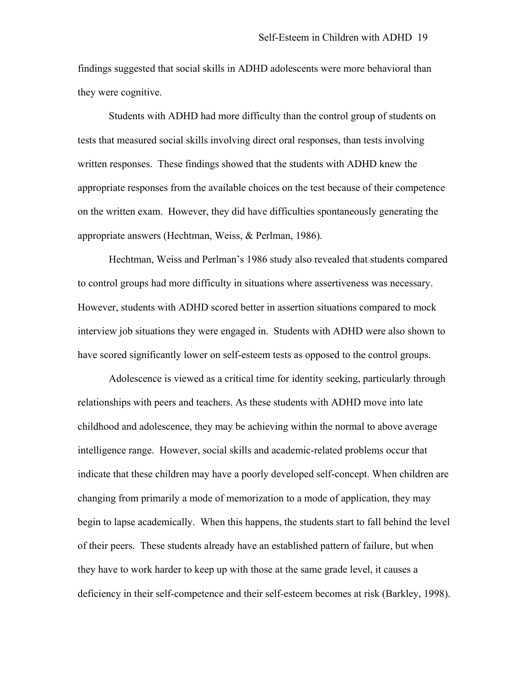findings suggested that social skills in ADHD adolescents were more behavioral than they were cognitive.

Students with ADHD had more difficulty than the control group of students on tests that measured social skills involving direct oral responses, than tests involving written responses. These findings showed that the students with ADHD knew the appropriate responses from the available choices on the test because of their competence on the written exam. However, they did have difficulties spontaneously generating the appropriate answers (Hechtman, Weiss, & Perlman, 1986).

Hechtman, Weiss and Perlman's 1986 study also revealed that students compared to control groups had more difficulty in situations where assertiveness was necessary. However, students with ADHD scored better in assertion situations compared to mock interview job situations they were engaged in. Students with ADHD were also shown to have scored significantly lower on self-esteem tests as opposed to the control groups.

Adolescence is viewed as a critical time for identity seeking, particularly through relationships with peers and teachers. As these students with ADHD move into late childhood and adolescence, they may be achieving within the normal to above average intelligence range. However, social skills and academic-related problems occur that indicate that these children may have a poorly developed self-concept. When children are changing from primarily a mode of memorization to a mode of application, they may begin to lapse academically. When this happens, the students start to fall behind the level of their peers. These students already have an established pattern of failure, but when they have to work harder to keep up with those at the same grade level, it causes a deficiency in their self-competence and their self-esteem becomes at risk (Barkley, 1998).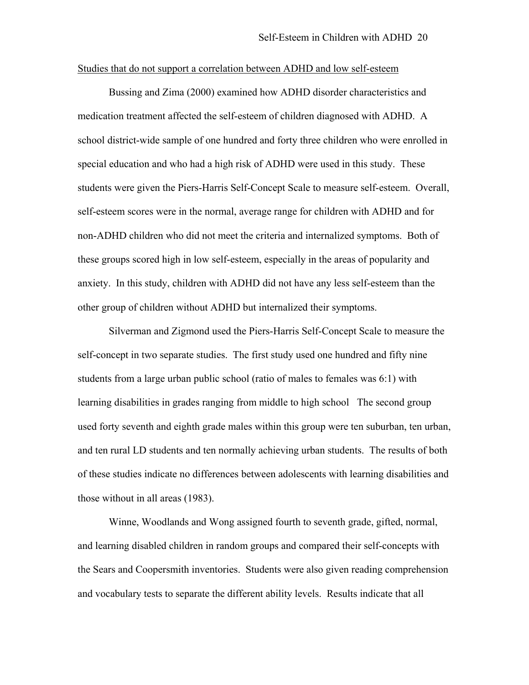#### Studies that do not support a correlation between ADHD and low self-esteem

 Bussing and Zima (2000) examined how ADHD disorder characteristics and medication treatment affected the self-esteem of children diagnosed with ADHD. A school district-wide sample of one hundred and forty three children who were enrolled in special education and who had a high risk of ADHD were used in this study. These students were given the Piers-Harris Self-Concept Scale to measure self-esteem. Overall, self-esteem scores were in the normal, average range for children with ADHD and for non-ADHD children who did not meet the criteria and internalized symptoms. Both of these groups scored high in low self-esteem, especially in the areas of popularity and anxiety. In this study, children with ADHD did not have any less self-esteem than the other group of children without ADHD but internalized their symptoms.

 Silverman and Zigmond used the Piers-Harris Self-Concept Scale to measure the self-concept in two separate studies. The first study used one hundred and fifty nine students from a large urban public school (ratio of males to females was 6:1) with learning disabilities in grades ranging from middle to high school The second group used forty seventh and eighth grade males within this group were ten suburban, ten urban, and ten rural LD students and ten normally achieving urban students. The results of both of these studies indicate no differences between adolescents with learning disabilities and those without in all areas (1983).

Winne, Woodlands and Wong assigned fourth to seventh grade, gifted, normal, and learning disabled children in random groups and compared their self-concepts with the Sears and Coopersmith inventories. Students were also given reading comprehension and vocabulary tests to separate the different ability levels. Results indicate that all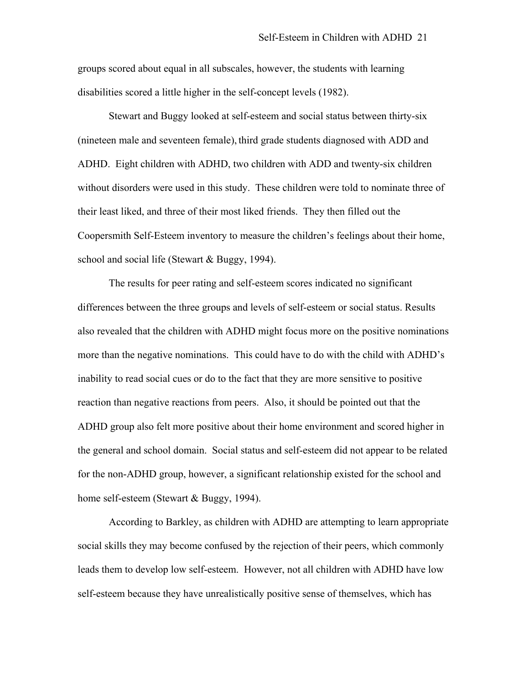groups scored about equal in all subscales, however, the students with learning disabilities scored a little higher in the self-concept levels (1982).

 Stewart and Buggy looked at self-esteem and social status between thirty-six (nineteen male and seventeen female), third grade students diagnosed with ADD and ADHD. Eight children with ADHD, two children with ADD and twenty-six children without disorders were used in this study. These children were told to nominate three of their least liked, and three of their most liked friends. They then filled out the Coopersmith Self-Esteem inventory to measure the children's feelings about their home, school and social life (Stewart & Buggy, 1994).

The results for peer rating and self-esteem scores indicated no significant differences between the three groups and levels of self-esteem or social status. Results also revealed that the children with ADHD might focus more on the positive nominations more than the negative nominations. This could have to do with the child with ADHD's inability to read social cues or do to the fact that they are more sensitive to positive reaction than negative reactions from peers. Also, it should be pointed out that the ADHD group also felt more positive about their home environment and scored higher in the general and school domain. Social status and self-esteem did not appear to be related for the non-ADHD group, however, a significant relationship existed for the school and home self-esteem (Stewart & Buggy, 1994).

 According to Barkley, as children with ADHD are attempting to learn appropriate social skills they may become confused by the rejection of their peers, which commonly leads them to develop low self-esteem. However, not all children with ADHD have low self-esteem because they have unrealistically positive sense of themselves, which has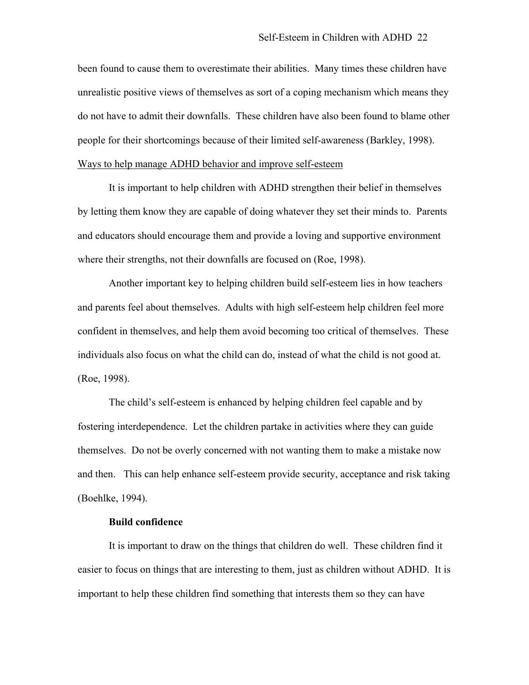been found to cause them to overestimate their abilities. Many times these children have unrealistic positive views of themselves as sort of a coping mechanism which means they do not have to admit their downfalls. These children have also been found to blame other people for their shortcomings because of their limited self-awareness (Barkley, 1998). Ways to help manage ADHD behavior and improve self-esteem

 It is important to help children with ADHD strengthen their belief in themselves by letting them know they are capable of doing whatever they set their minds to. Parents and educators should encourage them and provide a loving and supportive environment where their strengths, not their downfalls are focused on (Roe, 1998).

Another important key to helping children build self-esteem lies in how teachers and parents feel about themselves. Adults with high self-esteem help children feel more confident in themselves, and help them avoid becoming too critical of themselves. These individuals also focus on what the child can do, instead of what the child is not good at. (Roe, 1998).

The child's self-esteem is enhanced by helping children feel capable and by fostering interdependence. Let the children partake in activities where they can guide themselves. Do not be overly concerned with not wanting them to make a mistake now and then. This can help enhance self-esteem provide security, acceptance and risk taking (Boehlke, 1994).

# **Build confidence**

It is important to draw on the things that children do well. These children find it easier to focus on things that are interesting to them, just as children without ADHD. It is important to help these children find something that interests them so they can have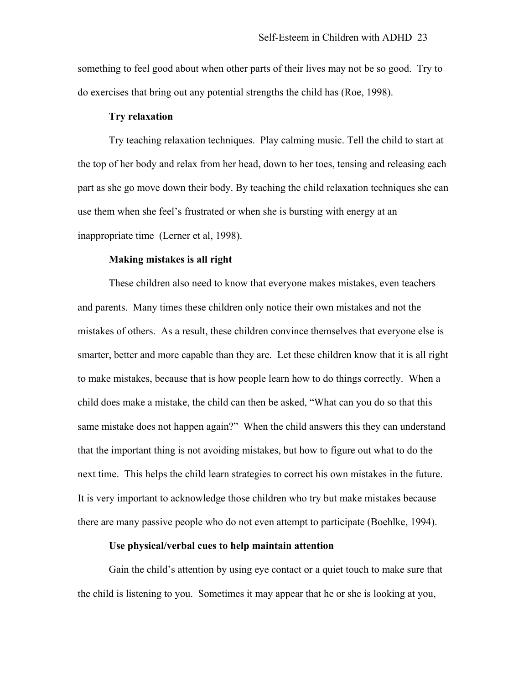something to feel good about when other parts of their lives may not be so good. Try to do exercises that bring out any potential strengths the child has (Roe, 1998).

# **Try relaxation**

 Try teaching relaxation techniques. Play calming music. Tell the child to start at the top of her body and relax from her head, down to her toes, tensing and releasing each part as she go move down their body. By teaching the child relaxation techniques she can use them when she feel's frustrated or when she is bursting with energy at an inappropriate time (Lerner et al, 1998).

# **Making mistakes is all right**

 These children also need to know that everyone makes mistakes, even teachers and parents. Many times these children only notice their own mistakes and not the mistakes of others. As a result, these children convince themselves that everyone else is smarter, better and more capable than they are. Let these children know that it is all right to make mistakes, because that is how people learn how to do things correctly. When a child does make a mistake, the child can then be asked, "What can you do so that this same mistake does not happen again?" When the child answers this they can understand that the important thing is not avoiding mistakes, but how to figure out what to do the next time. This helps the child learn strategies to correct his own mistakes in the future. It is very important to acknowledge those children who try but make mistakes because there are many passive people who do not even attempt to participate (Boehlke, 1994).

# **Use physical/verbal cues to help maintain attention**

Gain the child's attention by using eye contact or a quiet touch to make sure that the child is listening to you. Sometimes it may appear that he or she is looking at you,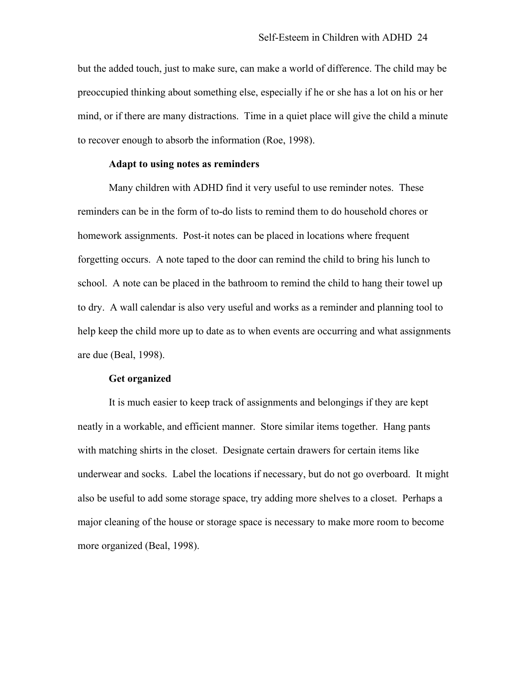but the added touch, just to make sure, can make a world of difference. The child may be preoccupied thinking about something else, especially if he or she has a lot on his or her mind, or if there are many distractions. Time in a quiet place will give the child a minute to recover enough to absorb the information (Roe, 1998).

# **Adapt to using notes as reminders**

Many children with ADHD find it very useful to use reminder notes. These reminders can be in the form of to-do lists to remind them to do household chores or homework assignments. Post-it notes can be placed in locations where frequent forgetting occurs. A note taped to the door can remind the child to bring his lunch to school. A note can be placed in the bathroom to remind the child to hang their towel up to dry. A wall calendar is also very useful and works as a reminder and planning tool to help keep the child more up to date as to when events are occurring and what assignments are due (Beal, 1998).

# **Get organized**

It is much easier to keep track of assignments and belongings if they are kept neatly in a workable, and efficient manner. Store similar items together. Hang pants with matching shirts in the closet. Designate certain drawers for certain items like underwear and socks. Label the locations if necessary, but do not go overboard. It might also be useful to add some storage space, try adding more shelves to a closet. Perhaps a major cleaning of the house or storage space is necessary to make more room to become more organized (Beal, 1998).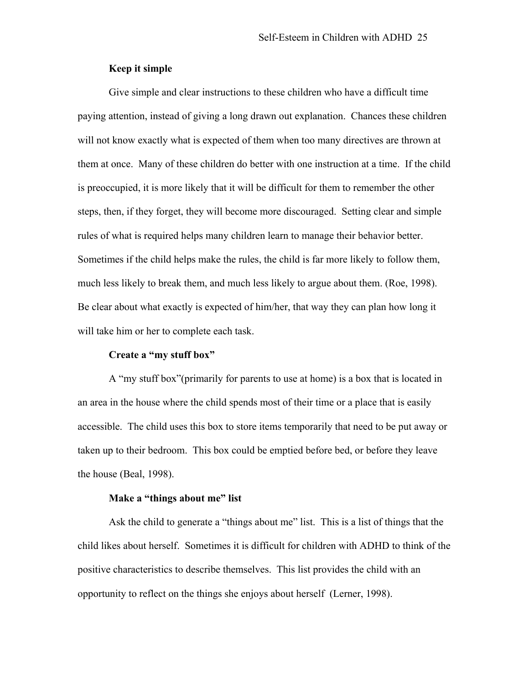# **Keep it simple**

Give simple and clear instructions to these children who have a difficult time paying attention, instead of giving a long drawn out explanation. Chances these children will not know exactly what is expected of them when too many directives are thrown at them at once. Many of these children do better with one instruction at a time. If the child is preoccupied, it is more likely that it will be difficult for them to remember the other steps, then, if they forget, they will become more discouraged. Setting clear and simple rules of what is required helps many children learn to manage their behavior better. Sometimes if the child helps make the rules, the child is far more likely to follow them, much less likely to break them, and much less likely to argue about them. (Roe, 1998). Be clear about what exactly is expected of him/her, that way they can plan how long it will take him or her to complete each task.

#### **Create a "my stuff box"**

A "my stuff box"(primarily for parents to use at home) is a box that is located in an area in the house where the child spends most of their time or a place that is easily accessible. The child uses this box to store items temporarily that need to be put away or taken up to their bedroom. This box could be emptied before bed, or before they leave the house (Beal, 1998).

# **Make a "things about me" list**

 Ask the child to generate a "things about me" list. This is a list of things that the child likes about herself. Sometimes it is difficult for children with ADHD to think of the positive characteristics to describe themselves. This list provides the child with an opportunity to reflect on the things she enjoys about herself (Lerner, 1998).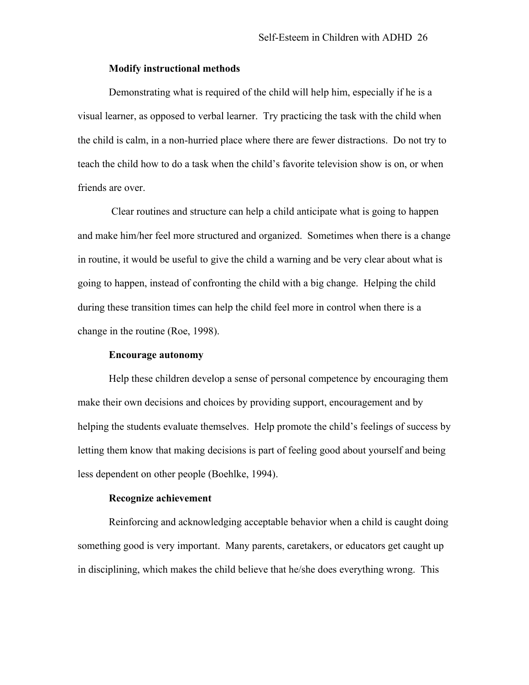# **Modify instructional methods**

Demonstrating what is required of the child will help him, especially if he is a visual learner, as opposed to verbal learner. Try practicing the task with the child when the child is calm, in a non-hurried place where there are fewer distractions. Do not try to teach the child how to do a task when the child's favorite television show is on, or when friends are over.

 Clear routines and structure can help a child anticipate what is going to happen and make him/her feel more structured and organized. Sometimes when there is a change in routine, it would be useful to give the child a warning and be very clear about what is going to happen, instead of confronting the child with a big change. Helping the child during these transition times can help the child feel more in control when there is a change in the routine (Roe, 1998).

#### **Encourage autonomy**

Help these children develop a sense of personal competence by encouraging them make their own decisions and choices by providing support, encouragement and by helping the students evaluate themselves. Help promote the child's feelings of success by letting them know that making decisions is part of feeling good about yourself and being less dependent on other people (Boehlke, 1994).

# **Recognize achievement**

Reinforcing and acknowledging acceptable behavior when a child is caught doing something good is very important. Many parents, caretakers, or educators get caught up in disciplining, which makes the child believe that he/she does everything wrong. This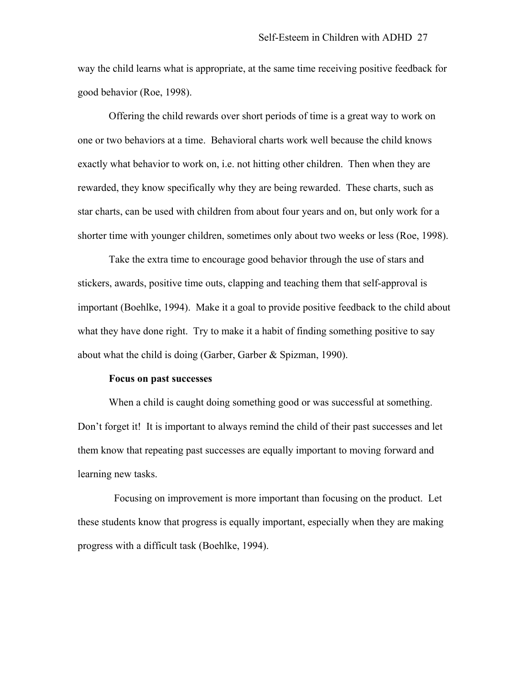way the child learns what is appropriate, at the same time receiving positive feedback for good behavior (Roe, 1998).

Offering the child rewards over short periods of time is a great way to work on one or two behaviors at a time. Behavioral charts work well because the child knows exactly what behavior to work on, i.e. not hitting other children. Then when they are rewarded, they know specifically why they are being rewarded. These charts, such as star charts, can be used with children from about four years and on, but only work for a shorter time with younger children, sometimes only about two weeks or less (Roe, 1998).

Take the extra time to encourage good behavior through the use of stars and stickers, awards, positive time outs, clapping and teaching them that self-approval is important (Boehlke, 1994). Make it a goal to provide positive feedback to the child about what they have done right. Try to make it a habit of finding something positive to say about what the child is doing (Garber, Garber & Spizman, 1990).

#### **Focus on past successes**

When a child is caught doing something good or was successful at something. Don't forget it! It is important to always remind the child of their past successes and let them know that repeating past successes are equally important to moving forward and learning new tasks.

 Focusing on improvement is more important than focusing on the product. Let these students know that progress is equally important, especially when they are making progress with a difficult task (Boehlke, 1994).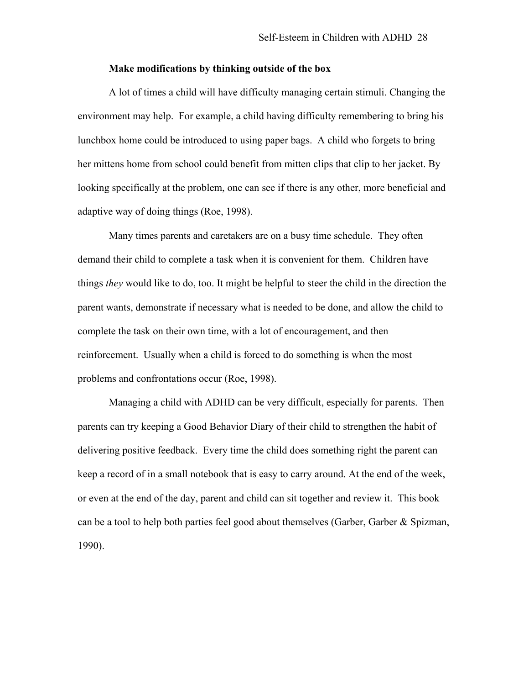#### **Make modifications by thinking outside of the box**

A lot of times a child will have difficulty managing certain stimuli. Changing the environment may help. For example, a child having difficulty remembering to bring his lunchbox home could be introduced to using paper bags. A child who forgets to bring her mittens home from school could benefit from mitten clips that clip to her jacket. By looking specifically at the problem, one can see if there is any other, more beneficial and adaptive way of doing things (Roe, 1998).

Many times parents and caretakers are on a busy time schedule. They often demand their child to complete a task when it is convenient for them. Children have things *they* would like to do, too. It might be helpful to steer the child in the direction the parent wants, demonstrate if necessary what is needed to be done, and allow the child to complete the task on their own time, with a lot of encouragement, and then reinforcement. Usually when a child is forced to do something is when the most problems and confrontations occur (Roe, 1998).

Managing a child with ADHD can be very difficult, especially for parents. Then parents can try keeping a Good Behavior Diary of their child to strengthen the habit of delivering positive feedback. Every time the child does something right the parent can keep a record of in a small notebook that is easy to carry around. At the end of the week, or even at the end of the day, parent and child can sit together and review it. This book can be a tool to help both parties feel good about themselves (Garber, Garber & Spizman, 1990).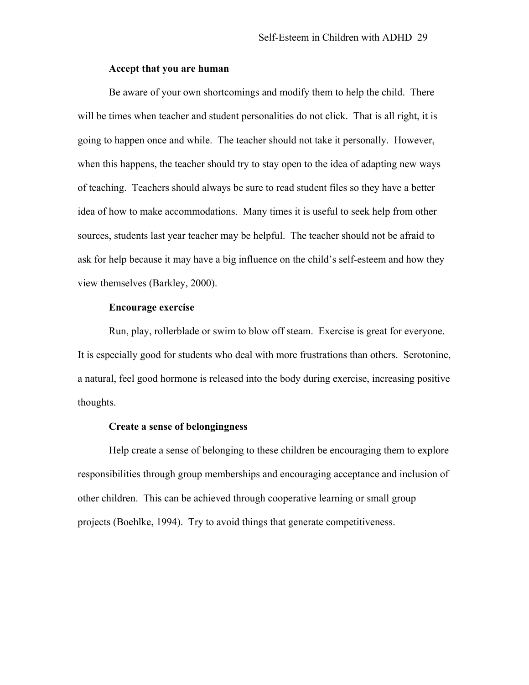# **Accept that you are human**

Be aware of your own shortcomings and modify them to help the child. There will be times when teacher and student personalities do not click. That is all right, it is going to happen once and while. The teacher should not take it personally. However, when this happens, the teacher should try to stay open to the idea of adapting new ways of teaching. Teachers should always be sure to read student files so they have a better idea of how to make accommodations. Many times it is useful to seek help from other sources, students last year teacher may be helpful. The teacher should not be afraid to ask for help because it may have a big influence on the child's self-esteem and how they view themselves (Barkley, 2000).

# **Encourage exercise**

Run, play, rollerblade or swim to blow off steam. Exercise is great for everyone. It is especially good for students who deal with more frustrations than others. Serotonine, a natural, feel good hormone is released into the body during exercise, increasing positive thoughts.

# **Create a sense of belongingness**

Help create a sense of belonging to these children be encouraging them to explore responsibilities through group memberships and encouraging acceptance and inclusion of other children. This can be achieved through cooperative learning or small group projects (Boehlke, 1994). Try to avoid things that generate competitiveness.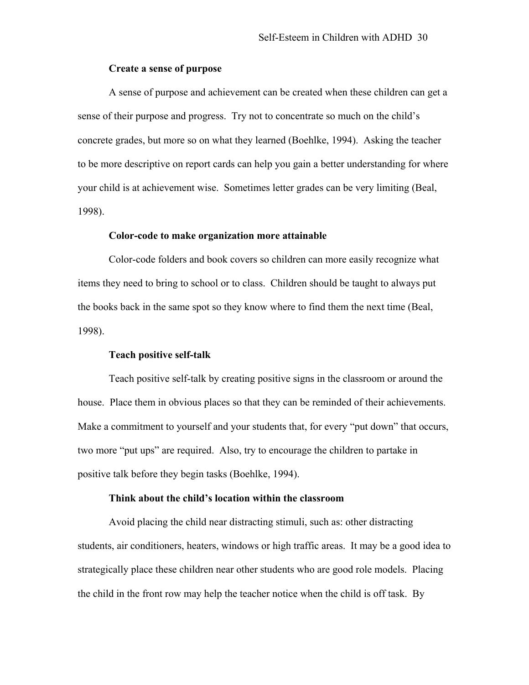# **Create a sense of purpose**

A sense of purpose and achievement can be created when these children can get a sense of their purpose and progress. Try not to concentrate so much on the child's concrete grades, but more so on what they learned (Boehlke, 1994). Asking the teacher to be more descriptive on report cards can help you gain a better understanding for where your child is at achievement wise. Sometimes letter grades can be very limiting (Beal, 1998).

# **Color-code to make organization more attainable**

Color-code folders and book covers so children can more easily recognize what items they need to bring to school or to class. Children should be taught to always put the books back in the same spot so they know where to find them the next time (Beal, 1998).

# **Teach positive self-talk**

Teach positive self-talk by creating positive signs in the classroom or around the house. Place them in obvious places so that they can be reminded of their achievements. Make a commitment to yourself and your students that, for every "put down" that occurs, two more "put ups" are required. Also, try to encourage the children to partake in positive talk before they begin tasks (Boehlke, 1994).

#### **Think about the child's location within the classroom**

Avoid placing the child near distracting stimuli, such as: other distracting students, air conditioners, heaters, windows or high traffic areas. It may be a good idea to strategically place these children near other students who are good role models. Placing the child in the front row may help the teacher notice when the child is off task. By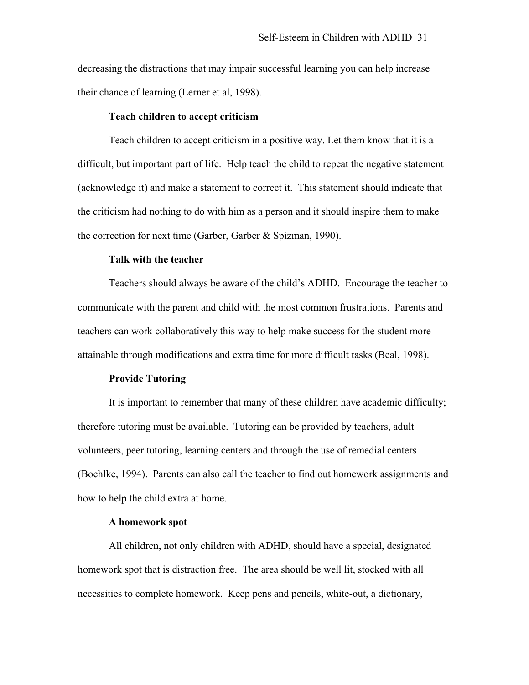decreasing the distractions that may impair successful learning you can help increase their chance of learning (Lerner et al, 1998).

#### **Teach children to accept criticism**

Teach children to accept criticism in a positive way. Let them know that it is a difficult, but important part of life. Help teach the child to repeat the negative statement (acknowledge it) and make a statement to correct it. This statement should indicate that the criticism had nothing to do with him as a person and it should inspire them to make the correction for next time (Garber, Garber & Spizman, 1990).

# **Talk with the teacher**

Teachers should always be aware of the child's ADHD. Encourage the teacher to communicate with the parent and child with the most common frustrations. Parents and teachers can work collaboratively this way to help make success for the student more attainable through modifications and extra time for more difficult tasks (Beal, 1998).

#### **Provide Tutoring**

It is important to remember that many of these children have academic difficulty; therefore tutoring must be available. Tutoring can be provided by teachers, adult volunteers, peer tutoring, learning centers and through the use of remedial centers (Boehlke, 1994). Parents can also call the teacher to find out homework assignments and how to help the child extra at home.

#### **A homework spot**

 All children, not only children with ADHD, should have a special, designated homework spot that is distraction free. The area should be well lit, stocked with all necessities to complete homework. Keep pens and pencils, white-out, a dictionary,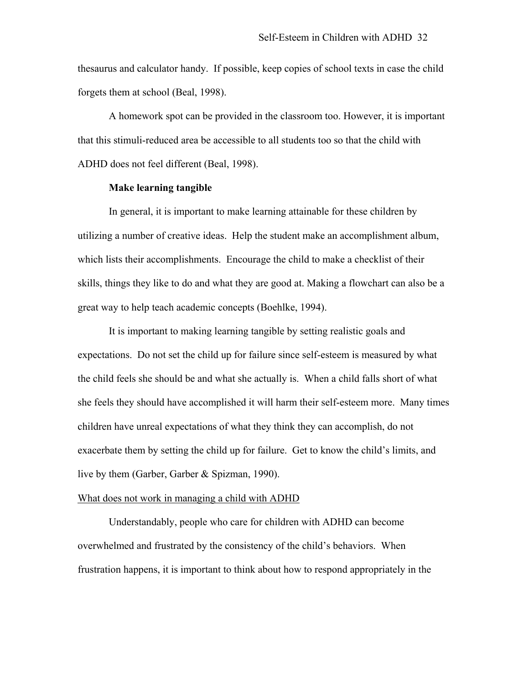thesaurus and calculator handy. If possible, keep copies of school texts in case the child forgets them at school (Beal, 1998).

 A homework spot can be provided in the classroom too. However, it is important that this stimuli-reduced area be accessible to all students too so that the child with ADHD does not feel different (Beal, 1998).

# **Make learning tangible**

In general, it is important to make learning attainable for these children by utilizing a number of creative ideas. Help the student make an accomplishment album, which lists their accomplishments. Encourage the child to make a checklist of their skills, things they like to do and what they are good at. Making a flowchart can also be a great way to help teach academic concepts (Boehlke, 1994).

It is important to making learning tangible by setting realistic goals and expectations. Do not set the child up for failure since self-esteem is measured by what the child feels she should be and what she actually is. When a child falls short of what she feels they should have accomplished it will harm their self-esteem more. Many times children have unreal expectations of what they think they can accomplish, do not exacerbate them by setting the child up for failure. Get to know the child's limits, and live by them (Garber, Garber & Spizman, 1990).

#### What does not work in managing a child with ADHD

Understandably, people who care for children with ADHD can become overwhelmed and frustrated by the consistency of the child's behaviors. When frustration happens, it is important to think about how to respond appropriately in the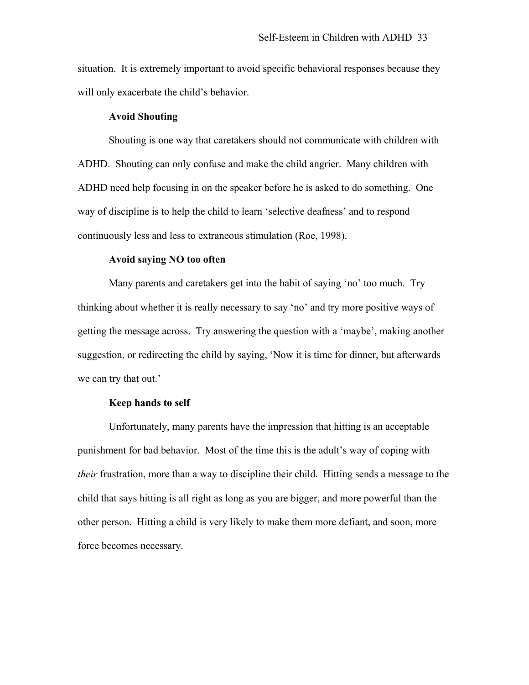situation. It is extremely important to avoid specific behavioral responses because they will only exacerbate the child's behavior.

# **Avoid Shouting**

 Shouting is one way that caretakers should not communicate with children with ADHD. Shouting can only confuse and make the child angrier. Many children with ADHD need help focusing in on the speaker before he is asked to do something. One way of discipline is to help the child to learn 'selective deafness' and to respond continuously less and less to extraneous stimulation (Roe, 1998).

# **Avoid saying NO too often**

 Many parents and caretakers get into the habit of saying 'no' too much. Try thinking about whether it is really necessary to say 'no' and try more positive ways of getting the message across. Try answering the question with a 'maybe', making another suggestion, or redirecting the child by saying, 'Now it is time for dinner, but afterwards we can try that out.'

#### **Keep hands to self**

 Unfortunately, many parents have the impression that hitting is an acceptable punishment for bad behavior. Most of the time this is the adult's way of coping with *their* frustration, more than a way to discipline their child. Hitting sends a message to the child that says hitting is all right as long as you are bigger, and more powerful than the other person. Hitting a child is very likely to make them more defiant, and soon, more force becomes necessary.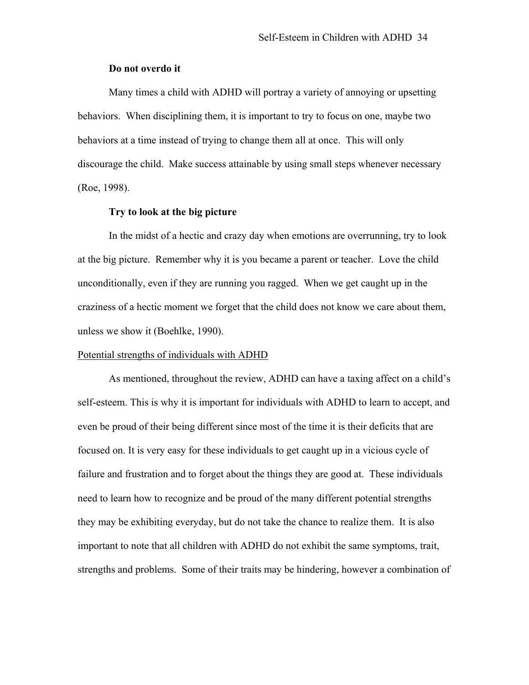# **Do not overdo it**

 Many times a child with ADHD will portray a variety of annoying or upsetting behaviors. When disciplining them, it is important to try to focus on one, maybe two behaviors at a time instead of trying to change them all at once. This will only discourage the child. Make success attainable by using small steps whenever necessary (Roe, 1998).

# **Try to look at the big picture**

 In the midst of a hectic and crazy day when emotions are overrunning, try to look at the big picture. Remember why it is you became a parent or teacher. Love the child unconditionally, even if they are running you ragged. When we get caught up in the craziness of a hectic moment we forget that the child does not know we care about them, unless we show it (Boehlke, 1990).

#### Potential strengths of individuals with ADHD

As mentioned, throughout the review, ADHD can have a taxing affect on a child's self-esteem. This is why it is important for individuals with ADHD to learn to accept, and even be proud of their being different since most of the time it is their deficits that are focused on. It is very easy for these individuals to get caught up in a vicious cycle of failure and frustration and to forget about the things they are good at. These individuals need to learn how to recognize and be proud of the many different potential strengths they may be exhibiting everyday, but do not take the chance to realize them. It is also important to note that all children with ADHD do not exhibit the same symptoms, trait, strengths and problems. Some of their traits may be hindering, however a combination of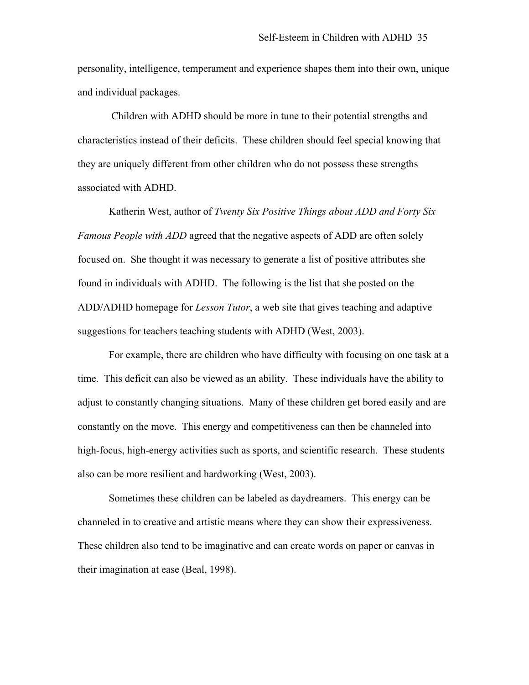personality, intelligence, temperament and experience shapes them into their own, unique and individual packages.

 Children with ADHD should be more in tune to their potential strengths and characteristics instead of their deficits. These children should feel special knowing that they are uniquely different from other children who do not possess these strengths associated with ADHD.

Katherin West, author of *Twenty Six Positive Things about ADD and Forty Six Famous People with ADD* agreed that the negative aspects of ADD are often solely focused on. She thought it was necessary to generate a list of positive attributes she found in individuals with ADHD. The following is the list that she posted on the ADD/ADHD homepage for *Lesson Tutor*, a web site that gives teaching and adaptive suggestions for teachers teaching students with ADHD (West, 2003).

 For example, there are children who have difficulty with focusing on one task at a time. This deficit can also be viewed as an ability. These individuals have the ability to adjust to constantly changing situations. Many of these children get bored easily and are constantly on the move. This energy and competitiveness can then be channeled into high-focus, high-energy activities such as sports, and scientific research. These students also can be more resilient and hardworking (West, 2003).

 Sometimes these children can be labeled as daydreamers. This energy can be channeled in to creative and artistic means where they can show their expressiveness. These children also tend to be imaginative and can create words on paper or canvas in their imagination at ease (Beal, 1998).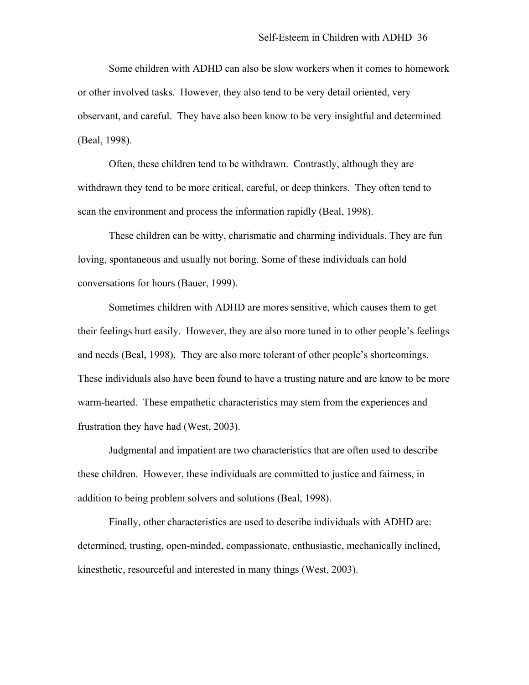Some children with ADHD can also be slow workers when it comes to homework or other involved tasks. However, they also tend to be very detail oriented, very observant, and careful. They have also been know to be very insightful and determined (Beal, 1998).

 Often, these children tend to be withdrawn. Contrastly, although they are withdrawn they tend to be more critical, careful, or deep thinkers. They often tend to scan the environment and process the information rapidly (Beal, 1998).

 These children can be witty, charismatic and charming individuals. They are fun loving, spontaneous and usually not boring. Some of these individuals can hold conversations for hours (Bauer, 1999).

 Sometimes children with ADHD are mores sensitive, which causes them to get their feelings hurt easily. However, they are also more tuned in to other people's feelings and needs (Beal, 1998). They are also more tolerant of other people's shortcomings. These individuals also have been found to have a trusting nature and are know to be more warm-hearted. These empathetic characteristics may stem from the experiences and frustration they have had (West, 2003).

 Judgmental and impatient are two characteristics that are often used to describe these children. However, these individuals are committed to justice and fairness, in addition to being problem solvers and solutions (Beal, 1998).

 Finally, other characteristics are used to describe individuals with ADHD are: determined, trusting, open-minded, compassionate, enthusiastic, mechanically inclined, kinesthetic, resourceful and interested in many things (West, 2003).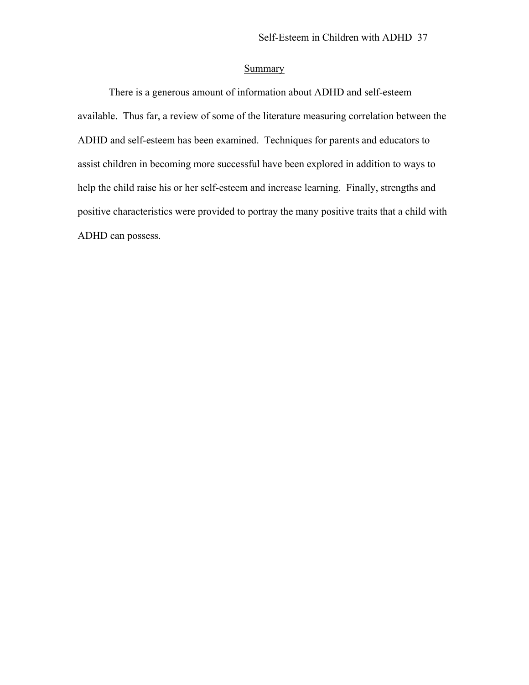# **Summary**

There is a generous amount of information about ADHD and self-esteem available. Thus far, a review of some of the literature measuring correlation between the ADHD and self-esteem has been examined. Techniques for parents and educators to assist children in becoming more successful have been explored in addition to ways to help the child raise his or her self-esteem and increase learning. Finally, strengths and positive characteristics were provided to portray the many positive traits that a child with ADHD can possess.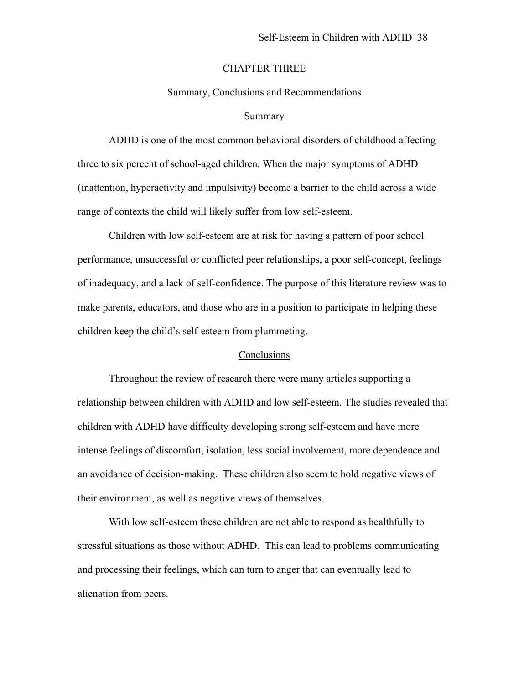# CHAPTER THREE

#### Summary, Conclusions and Recommendations

#### Summary

ADHD is one of the most common behavioral disorders of childhood affecting three to six percent of school-aged children. When the major symptoms of ADHD (inattention, hyperactivity and impulsivity) become a barrier to the child across a wide range of contexts the child will likely suffer from low self-esteem.

Children with low self-esteem are at risk for having a pattern of poor school performance, unsuccessful or conflicted peer relationships, a poor self-concept, feelings of inadequacy, and a lack of self-confidence. The purpose of this literature review was to make parents, educators, and those who are in a position to participate in helping these children keep the child's self-esteem from plummeting.

# **Conclusions**

Throughout the review of research there were many articles supporting a relationship between children with ADHD and low self-esteem. The studies revealed that children with ADHD have difficulty developing strong self-esteem and have more intense feelings of discomfort, isolation, less social involvement, more dependence and an avoidance of decision-making. These children also seem to hold negative views of their environment, as well as negative views of themselves.

With low self-esteem these children are not able to respond as healthfully to stressful situations as those without ADHD. This can lead to problems communicating and processing their feelings, which can turn to anger that can eventually lead to alienation from peers.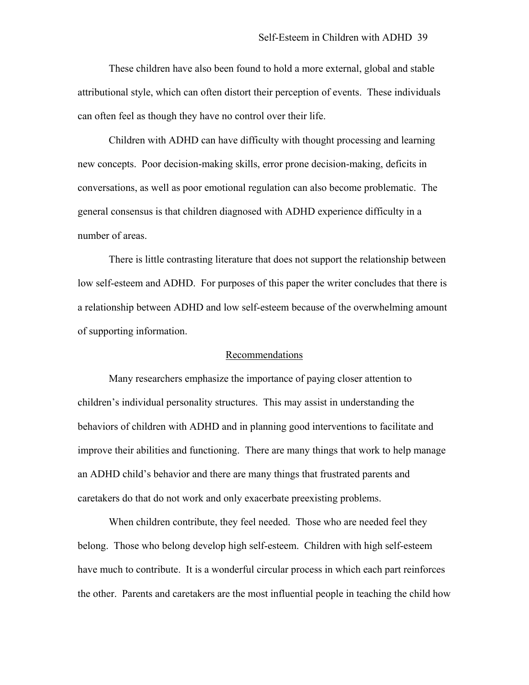These children have also been found to hold a more external, global and stable attributional style, which can often distort their perception of events. These individuals can often feel as though they have no control over their life.

 Children with ADHD can have difficulty with thought processing and learning new concepts. Poor decision-making skills, error prone decision-making, deficits in conversations, as well as poor emotional regulation can also become problematic. The general consensus is that children diagnosed with ADHD experience difficulty in a number of areas.

 There is little contrasting literature that does not support the relationship between low self-esteem and ADHD. For purposes of this paper the writer concludes that there is a relationship between ADHD and low self-esteem because of the overwhelming amount of supporting information.

# Recommendations

Many researchers emphasize the importance of paying closer attention to children's individual personality structures. This may assist in understanding the behaviors of children with ADHD and in planning good interventions to facilitate and improve their abilities and functioning. There are many things that work to help manage an ADHD child's behavior and there are many things that frustrated parents and caretakers do that do not work and only exacerbate preexisting problems.

When children contribute, they feel needed. Those who are needed feel they belong. Those who belong develop high self-esteem. Children with high self-esteem have much to contribute. It is a wonderful circular process in which each part reinforces the other. Parents and caretakers are the most influential people in teaching the child how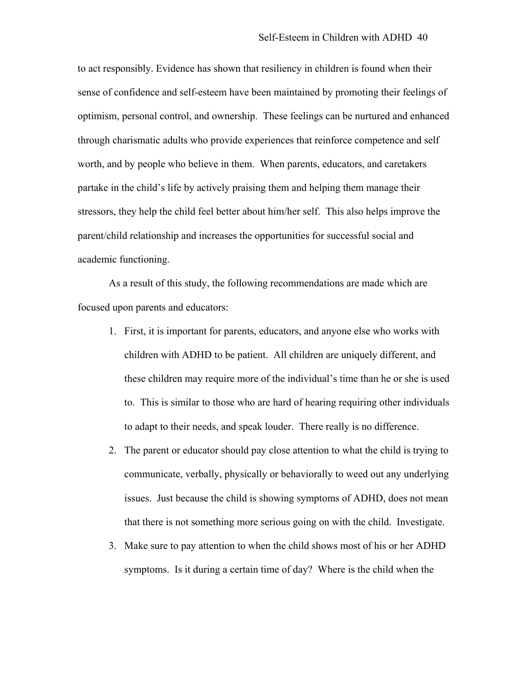to act responsibly. Evidence has shown that resiliency in children is found when their sense of confidence and self-esteem have been maintained by promoting their feelings of optimism, personal control, and ownership. These feelings can be nurtured and enhanced through charismatic adults who provide experiences that reinforce competence and self worth, and by people who believe in them. When parents, educators, and caretakers partake in the child's life by actively praising them and helping them manage their stressors, they help the child feel better about him/her self. This also helps improve the parent/child relationship and increases the opportunities for successful social and academic functioning.

As a result of this study, the following recommendations are made which are focused upon parents and educators:

- 1. First, it is important for parents, educators, and anyone else who works with children with ADHD to be patient. All children are uniquely different, and these children may require more of the individual's time than he or she is used to. This is similar to those who are hard of hearing requiring other individuals to adapt to their needs, and speak louder. There really is no difference.
- 2. The parent or educator should pay close attention to what the child is trying to communicate, verbally, physically or behaviorally to weed out any underlying issues. Just because the child is showing symptoms of ADHD, does not mean that there is not something more serious going on with the child. Investigate.
- 3. Make sure to pay attention to when the child shows most of his or her ADHD symptoms. Is it during a certain time of day? Where is the child when the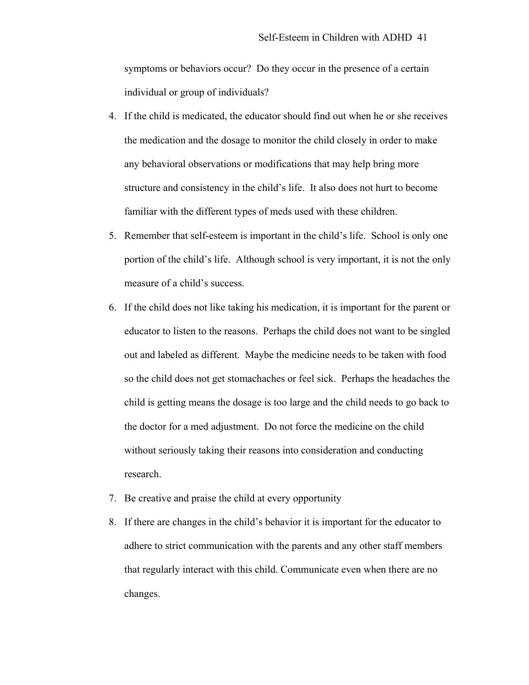symptoms or behaviors occur? Do they occur in the presence of a certain individual or group of individuals?

- 4. If the child is medicated, the educator should find out when he or she receives the medication and the dosage to monitor the child closely in order to make any behavioral observations or modifications that may help bring more structure and consistency in the child's life. It also does not hurt to become familiar with the different types of meds used with these children.
- 5. Remember that self-esteem is important in the child's life. School is only one portion of the child's life. Although school is very important, it is not the only measure of a child's success.
- 6. If the child does not like taking his medication, it is important for the parent or educator to listen to the reasons. Perhaps the child does not want to be singled out and labeled as different. Maybe the medicine needs to be taken with food so the child does not get stomachaches or feel sick. Perhaps the headaches the child is getting means the dosage is too large and the child needs to go back to the doctor for a med adjustment. Do not force the medicine on the child without seriously taking their reasons into consideration and conducting research.
- 7. Be creative and praise the child at every opportunity
- 8. If there are changes in the child's behavior it is important for the educator to adhere to strict communication with the parents and any other staff members that regularly interact with this child. Communicate even when there are no changes.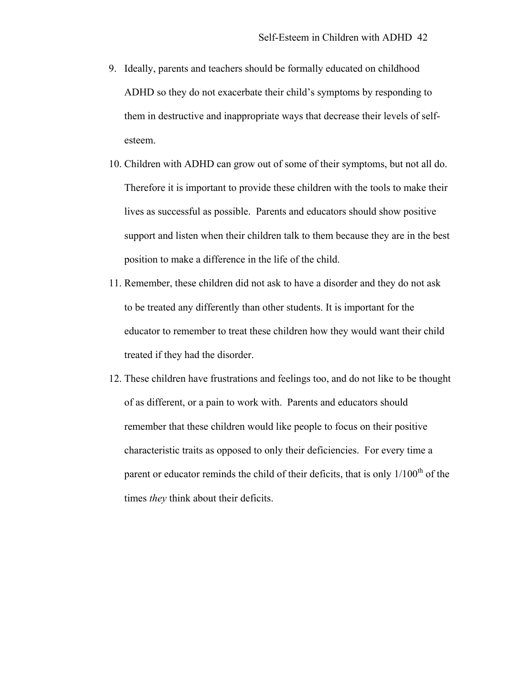- 9. Ideally, parents and teachers should be formally educated on childhood ADHD so they do not exacerbate their child's symptoms by responding to them in destructive and inappropriate ways that decrease their levels of selfesteem.
- 10. Children with ADHD can grow out of some of their symptoms, but not all do. Therefore it is important to provide these children with the tools to make their lives as successful as possible. Parents and educators should show positive support and listen when their children talk to them because they are in the best position to make a difference in the life of the child.
- 11. Remember, these children did not ask to have a disorder and they do not ask to be treated any differently than other students. It is important for the educator to remember to treat these children how they would want their child treated if they had the disorder.
- 12. These children have frustrations and feelings too, and do not like to be thought of as different, or a pain to work with. Parents and educators should remember that these children would like people to focus on their positive characteristic traits as opposed to only their deficiencies. For every time a parent or educator reminds the child of their deficits, that is only  $1/100<sup>th</sup>$  of the times *they* think about their deficits.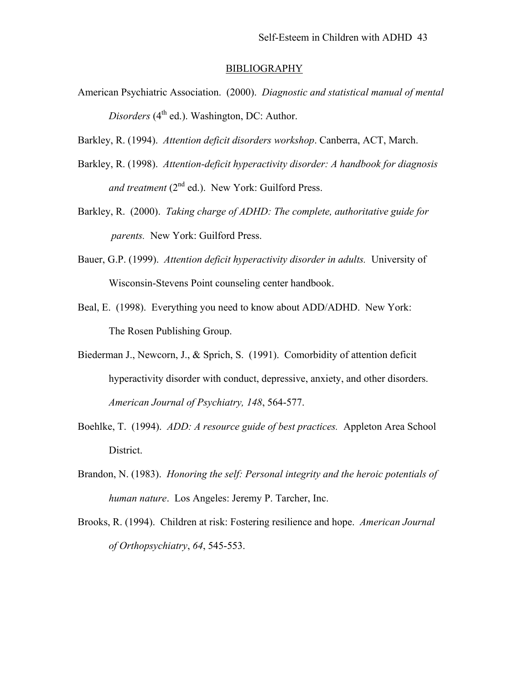#### BIBLIOGRAPHY

- American Psychiatric Association. (2000). *Diagnostic and statistical manual of mental Disorders* (4<sup>th</sup> ed.). Washington, DC: Author.
- Barkley, R. (1994). *Attention deficit disorders workshop*. Canberra, ACT, March.
- Barkley, R. (1998). *Attention-deficit hyperactivity disorder: A handbook for diagnosis*  and treatment (2<sup>nd</sup> ed.). New York: Guilford Press.
- Barkley, R. (2000). *Taking charge of ADHD: The complete, authoritative guide for parents.* New York: Guilford Press.
- Bauer, G.P. (1999). *Attention deficit hyperactivity disorder in adults.* University of Wisconsin-Stevens Point counseling center handbook.
- Beal, E. (1998). Everything you need to know about ADD/ADHD. New York: The Rosen Publishing Group.
- Biederman J., Newcorn, J., & Sprich, S. (1991). Comorbidity of attention deficit hyperactivity disorder with conduct, depressive, anxiety, and other disorders. *American Journal of Psychiatry, 148*, 564-577.
- Boehlke, T. (1994). *ADD: A resource guide of best practices.* Appleton Area School District.
- Brandon, N. (1983). *Honoring the self: Personal integrity and the heroic potentials of human nature*. Los Angeles: Jeremy P. Tarcher, Inc.
- Brooks, R. (1994). Children at risk: Fostering resilience and hope. *American Journal of Orthopsychiatry*, *64*, 545-553.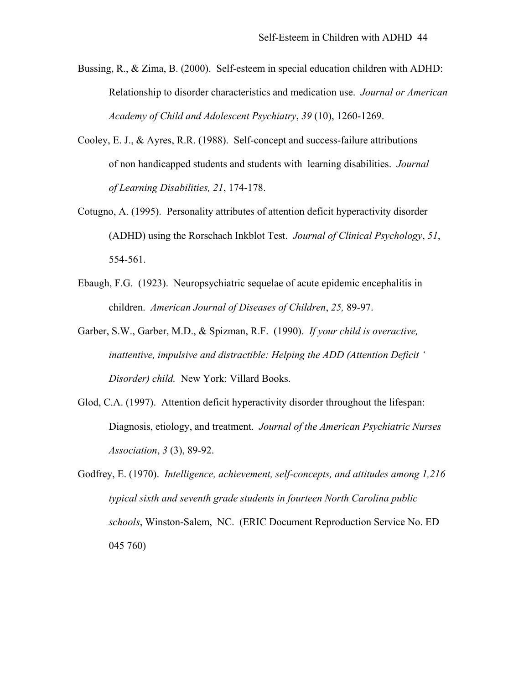- Bussing, R., & Zima, B. (2000). Self-esteem in special education children with ADHD: Relationship to disorder characteristics and medication use. *Journal or American Academy of Child and Adolescent Psychiatry*, *39* (10), 1260-1269.
- Cooley, E. J., & Ayres, R.R. (1988). Self-concept and success-failure attributions of non handicapped students and students with learning disabilities. *Journal of Learning Disabilities, 21*, 174-178.
- Cotugno, A. (1995). Personality attributes of attention deficit hyperactivity disorder (ADHD) using the Rorschach Inkblot Test. *Journal of Clinical Psychology*, *51*, 554-561.
- Ebaugh, F.G. (1923). Neuropsychiatric sequelae of acute epidemic encephalitis in children. *American Journal of Diseases of Children*, *25,* 89-97.
- Garber, S.W., Garber, M.D., & Spizman, R.F. (1990). *If your child is overactive, inattentive, impulsive and distractible: Helping the ADD (Attention Deficit ' Disorder) child.* New York: Villard Books.
- Glod, C.A. (1997). Attention deficit hyperactivity disorder throughout the lifespan: Diagnosis, etiology, and treatment. *Journal of the American Psychiatric Nurses Association*, *3* (3), 89-92.
- Godfrey, E. (1970). *Intelligence, achievement, self-concepts, and attitudes among 1,216 typical sixth and seventh grade students in fourteen North Carolina public schools*, Winston-Salem, NC. (ERIC Document Reproduction Service No. ED 045 760)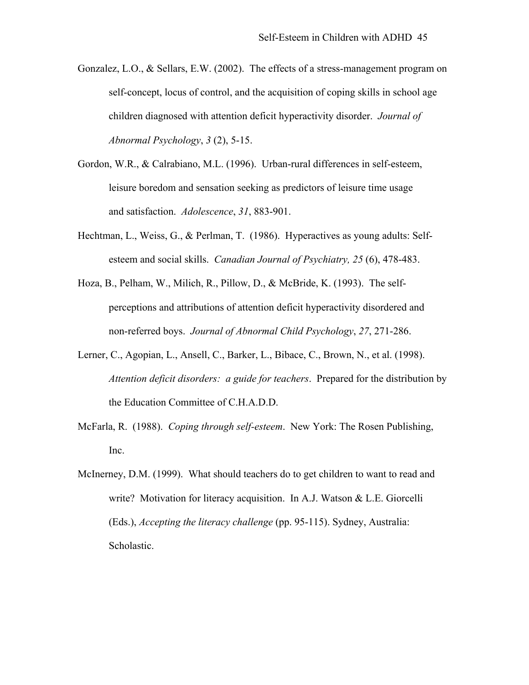- Gonzalez, L.O., & Sellars, E.W. (2002). The effects of a stress-management program on self-concept, locus of control, and the acquisition of coping skills in school age children diagnosed with attention deficit hyperactivity disorder. *Journal of Abnormal Psychology*, *3* (2), 5-15.
- Gordon, W.R., & Calrabiano, M.L. (1996). Urban-rural differences in self-esteem, leisure boredom and sensation seeking as predictors of leisure time usage and satisfaction. *Adolescence*, *31*, 883-901.
- Hechtman, L., Weiss, G., & Perlman, T. (1986). Hyperactives as young adults: Self esteem and social skills. *Canadian Journal of Psychiatry, 25* (6), 478-483.
- Hoza, B., Pelham, W., Milich, R., Pillow, D., & McBride, K. (1993). The selfperceptions and attributions of attention deficit hyperactivity disordered and non-referred boys. *Journal of Abnormal Child Psychology*, *27*, 271-286.
- Lerner, C., Agopian, L., Ansell, C., Barker, L., Bibace, C., Brown, N., et al. (1998). *Attention deficit disorders: a guide for teachers*. Prepared for the distribution by the Education Committee of C.H.A.D.D.
- McFarla, R. (1988). *Coping through self-esteem*. New York: The Rosen Publishing, Inc.
- McInerney, D.M. (1999). What should teachers do to get children to want to read and write? Motivation for literacy acquisition. In A.J. Watson & L.E. Giorcelli (Eds.), *Accepting the literacy challenge* (pp. 95-115). Sydney, Australia: Scholastic.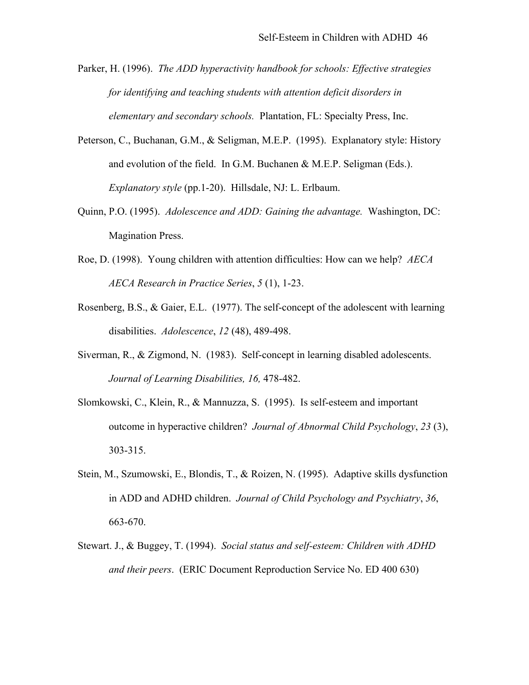- Parker, H. (1996). *The ADD hyperactivity handbook for schools: Effective strategies for identifying and teaching students with attention deficit disorders in elementary and secondary schools.* Plantation, FL: Specialty Press, Inc.
- Peterson, C., Buchanan, G.M., & Seligman, M.E.P. (1995). Explanatory style: History and evolution of the field. In G.M. Buchanen & M.E.P. Seligman (Eds.). *Explanatory style* (pp.1-20). Hillsdale, NJ: L. Erlbaum.
- Quinn, P.O. (1995). *Adolescence and ADD: Gaining the advantage.* Washington, DC: Magination Press.
- Roe, D. (1998). Young children with attention difficulties: How can we help? *AECA AECA Research in Practice Series*, *5* (1), 1-23.
- Rosenberg, B.S., & Gaier, E.L. (1977). The self-concept of the adolescent with learning disabilities. *Adolescence*, *12* (48), 489-498.
- Siverman, R., & Zigmond, N. (1983). Self-concept in learning disabled adolescents. *Journal of Learning Disabilities, 16,* 478-482.
- Slomkowski, C., Klein, R., & Mannuzza, S. (1995). Is self-esteem and important outcome in hyperactive children? *Journal of Abnormal Child Psychology*, *23* (3), 303-315.
- Stein, M., Szumowski, E., Blondis, T., & Roizen, N. (1995). Adaptive skills dysfunction in ADD and ADHD children. *Journal of Child Psychology and Psychiatry*, *36*, 663-670.
- Stewart. J., & Buggey, T. (1994). *Social status and self-esteem: Children with ADHD and their peers*. (ERIC Document Reproduction Service No. ED 400 630)